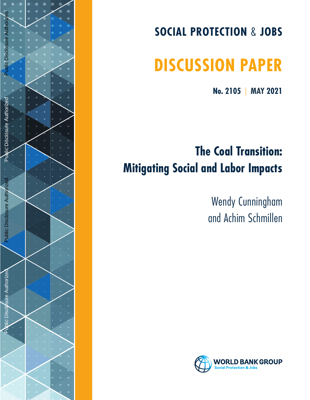

# **SOCIAL PROTECTION**  & **JOBS**

# **DISCUSSION PAPER**

**No. 2105**  | **MAY 2021**

# **The Coal Transition: Mitigating Social and Labor Impacts**

Wendy Cunningham and Achim Schmillen

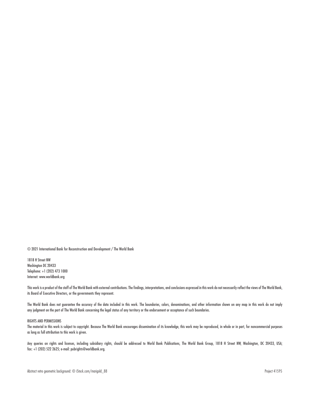© 2021 International Bank for Reconstruction and Development / The World Bank

1818 H Street NW Washington DC 20433 Telephone: +1 (202) 473 1000 Internet: www.worldbank.org

This work is a product of the staff of The World Bank with external contributions. The findings, interpretations, and conclusions expressed in this work do not necessarily reflect the views of The World Bank, its Board of Executive Directors, or the governments they represent.

The World Bank does not guarantee the accuracy of the data included in this work. The boundaries, colors, denominations, and other information shown on any map in this work do not imply any judgment on the part of The World Bank concerning the legal status of any territory or the endorsement or acceptance of such boundaries.

#### RIGHTS AND PERMISSIONS

The material in this work is subject to copyright. Because The World Bank encourages dissemination of its knowledge, this work may be reproduced, in whole or in part, for noncommercial purposes as long as full attribution to this work is given.

Any queries on rights and licenses, including subsidiary rights, should be addressed to World Bank Publications, The World Bank Group, 1818 H Street NW, Washington, DC 20433, USA; fax: +1 (202) 522 2625; e-mail: pubrights@worldbank.org.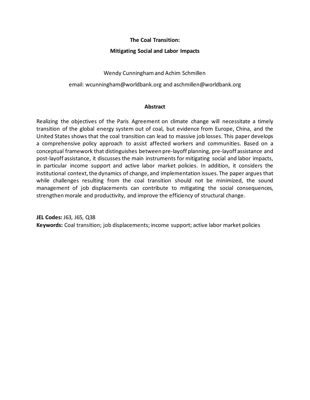#### **The Coal Transition:**

#### **Mitigating Social and Labor Impacts**

Wendy Cunninghamand Achim Schmillen

email: wcunningham@worldbank.org and aschmillen@worldbank.org

#### **Abstract**

Realizing the objectives of the Paris Agreement on climate change will necessitate a timely transition of the global energy system out of coal, but evidence from Europe, China, and the United States shows that the coal transition can lead to massive job losses. This paper develops a comprehensive policy approach to assist affected workers and communities. Based on a conceptual framework that distinguishes between pre-layoff planning, pre-layoff assistance and post-layoff assistance, it discusses the main instruments for mitigating social and labor impacts, in particular income support and active labor market policies. In addition, it considers the institutional context, the dynamics of change, and implementation issues. The paper argues that while challenges resulting from the coal transition should not be minimized, the sound management of job displacements can contribute to mitigating the social consequences, strengthen morale and productivity, and improve the efficiency of structural change.

**JEL Codes:** J63, J65, Q38 **Keywords:** Coal transition; job displacements; income support; active labor market policies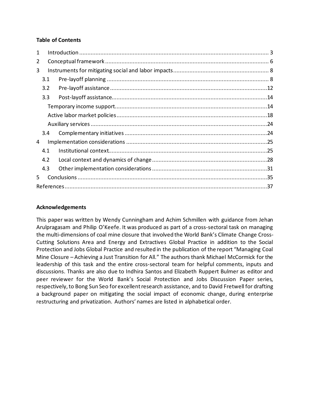#### **Table of Contents**

| 1  |     |  |  |
|----|-----|--|--|
| 2  |     |  |  |
| 3  |     |  |  |
|    | 3.1 |  |  |
|    | 3.2 |  |  |
|    | 3.3 |  |  |
|    |     |  |  |
|    |     |  |  |
|    |     |  |  |
|    | 3.4 |  |  |
| 4  |     |  |  |
|    | 4.1 |  |  |
|    | 4.2 |  |  |
|    | 4.3 |  |  |
| 5. |     |  |  |
|    |     |  |  |

#### **Acknowledgements**

This paper was written by Wendy Cunningham and Achim Schmillen with guidance from Jehan Arulpragasam and Philip O'Keefe. It was produced as part of a cross-sectoral task on managing the multi-dimensions of coal mine closure that involved the World Bank's Climate Change Cross-Cutting Solutions Area and Energy and Extractives Global Practice in addition to the Social Protection and Jobs Global Practice and resulted in the publication of the report "Managing Coal Mine Closure – Achieving a Just Transition for All." The authors thank Michael McCormick for the leadership of this task and the entire cross-sectoral team for helpful comments, inputs and discussions. Thanks are also due to Indhira Santos and Elizabeth Ruppert Bulmer as editor and peer reviewer for the World Bank's Social Protection and Jobs Discussion Paper series, respectively, to Bong Sun Seo for excellent research assistance, and to David Fretwell for drafting a background paper on mitigating the social impact of economic change, during enterprise restructuring and privatization. Authors' names are listed in alphabetical order.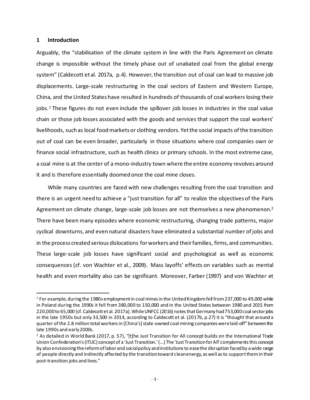#### <span id="page-4-0"></span>**1 Introduction**

Arguably, the "stabilisation of the climate system in line with the Paris Agreement on climate change is impossible without the timely phase out of unabated coal from the global energy system" (Caldecott et al. 2017a, p.4). However, the transition out of coal can lead to massive job displacements. Large-scale restructuring in the coal sectors of Eastern and Western Europe, China, and the United States have resulted in hundreds of thousands of coal workers losing their jobs.<sup>[1](#page-4-1)</sup> These figures do not even include the spillover job losses in industries in the coal value chain or those job losses associated with the goods and services that support the coal workers' livelihoods, such as local food markets or clothing vendors. Yet the social impacts of the transition out of coal can be even broader, particularly in those situations where coal companies own or finance social infrastructure, such as health clinics or primary schools. In the most extreme case, a coal mine is at the center of a mono-industry town where the entire economy revolves around it and is therefore essentially doomed once the coal mine closes.

While many countries are faced with new challenges resulting from the coal transition and there is an urgent need to achieve a "just transition for all" to realize the objectives of the Paris Agreement on climate change, large-scale job losses are not themselves a new phenomenon.<sup>[2](#page-4-2)</sup> There have been many episodes where economic restructuring, changing trade patterns, major cyclical downturns, and even natural disasters have eliminated a substantial number of jobs and in the process created serious dislocations for workers and their families, firms, and communities. These large-scale job losses have significant social and psychological as well as economic consequences (cf. von Wachter et al., 2009). Mass layoffs' effects on variables such as mental health and even mortality also can be significant. Moreover, Farber (1997) and von Wachter et

<span id="page-4-1"></span><sup>1</sup> For example, during the 1980s employment in coal mines in the United Kingdom fell from 237,000 to 49,000 while in Poland during the 1990s it fell from 380,000 to 150,000 and in the United States between 1980 and 2015 from 220,000 to 65,000 (cf. Caldecott et al. 2017a). While UNFCC (2016) notes that Germany had 753,000 coal sector jobs in the late 1950s but only 33,500 in 2014, according to Caldecott et al. (2017b, p.27) it is "thought that around a quarter of the 2.8 million total workers in [China's] state-owned coal mining companies were laid-off" between the late 1990s and early 2000s.

<span id="page-4-2"></span><sup>&</sup>lt;sup>2</sup> As detailed in World Bank (2017, p. 57), "[t]he Just Transition for All concept builds on the International Trade Union Confederation's (ITUC) concept of a 'Just Transition.' (…) The 'Just Transition for All' complements this concept by also envisioning the reform of labor and social policy and institutions to ease the disruption faced by a wide range of people directly and indirectly affected by the transition toward clean energy, as well as to support them in their post-transition jobs and lives."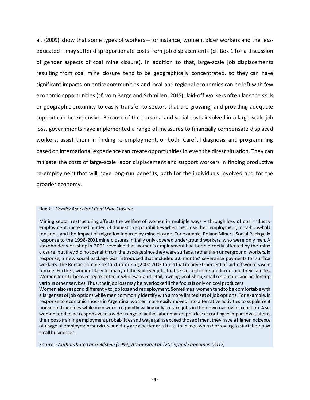al. (2009) show that some types of workers—for instance, women, older workers and the lesseducated—may suffer disproportionate costs from job displacements (cf. Box 1 for a discussion of gender aspects of coal mine closure). In addition to that, large-scale job displacements resulting from coal mine closure tend to be geographically concentrated, so they can have significant impacts on entire communities and local and regional economies can be left with few economic opportunities (cf. vom Berge and Schmillen, 2015); laid-off workers often lack the skills or geographic proximity to easily transfer to sectors that are growing; and providing adequate support can be expensive. Because of the personal and social costs involved in a large-scale job loss, governments have implemented a range of measures to financially compensate displaced workers, assist them in finding re-employment, or both. Careful diagnosis and programming based on international experience can create opportunities in even the direst situation. They can mitigate the costs of large-scale labor displacement and support workers in finding productive re-employment that will have long-run benefits, both for the individuals involved and for the broader economy.

#### *Box 1 – Gender Aspects of Coal Mine Closures*

Mining sector restructuring affects the welfare of women in multiple ways – through loss of coal industry employment, increased burden of domestic responsibilities when men lose their employment, intra-household tensions, and the impact of migration induced by mine closure. For example, Poland Miners' Social Package in response to the 1998-2001 mine closures initially only covered underground workers, who were only men. A stakeholder workshop in 2001 revealed that women's employment had been directly affected by the mine closure, but they did not benefit from the package since they were surface, rather than underground, workers. In response, a new social package was introduced that included 3.6 months' severance payments for surface workers. The Romanianmine restructure during 2002-2005 found that nearly 50 percent of laid-off workers were female. Further, women likely fill many of the spillover jobs that serve coal mine producers and their families. Women tend to be over-represented in wholesale and retail, owning small shop, small restaurant, and performing various other services. Thus, their job loss may be overlooked if the focus is only on coal producers. Women also respond differently to job loss and redeployment. Sometimes, women tend to be comfortable with a larger set of job options while men commonly identify with a more limited set of job options. For example, in response to economic shocks in Argentina, women more easily moved into alternative activities to supplement household incomes while men were frequently willing only to take jobs in their own narrow occupation. Also, women tend to be responsive to a wider range of active labor market policies: according to impact evaluations, their post-training employment probabilities and wage gains exceed those of men, they have a higher incidence of usage of employment services, and they are a better creditrisk than men when borrowing to start their own small businesses.

*Sources: Authors based on Geldstein (1999), Attanasio et al. (2015) and Strongman (2017)*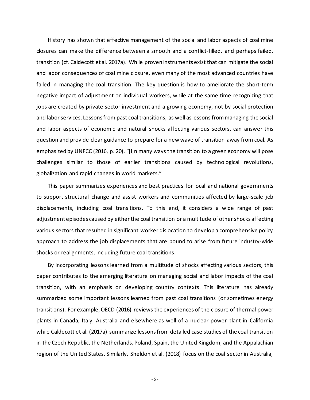History has shown that effective management of the social and labor aspects of coal mine closures can make the difference between a smooth and a conflict-filled, and perhaps failed, transition (cf. Caldecott et al. 2017a). While proven instruments exist that can mitigate the social and labor consequences of coal mine closure, even many of the most advanced countries have failed in managing the coal transition. The key question is how to ameliorate the short-term negative impact of adjustment on individual workers, while at the same time recognizing that jobs are created by private sector investment and a growing economy, not by social protection and labor services. Lessons from past coal transitions, as well as lessons from managing the social and labor aspects of economic and natural shocks affecting various sectors, can answer this question and provide clear guidance to prepare for a new wave of transition away from coal. As emphasized by UNFCC (2016, p. 20), "[i]n many ways the transition to a green economy will pose challenges similar to those of earlier transitions caused by technological revolutions, globalization and rapid changes in world markets."

This paper summarizes experiences and best practices for local and national governments to support structural change and assist workers and communities affected by large-scale job displacements, including coal transitions. To this end, it considers a wide range of past adjustment episodes caused by either the coal transition or a multitude of other shocks affecting various sectors that resulted in significant worker dislocation to develop a comprehensive policy approach to address the job displacements that are bound to arise from future industry-wide shocks or realignments, including future coal transitions.

By incorporating lessons learned from a multitude of shocks affecting various sectors, this paper contributes to the emerging literature on managing social and labor impacts of the coal transition, with an emphasis on developing country contexts. This literature has already summarized some important lessons learned from past coal transitions (or sometimes energy transitions). For example, OECD (2016) reviews the experiences of the closure of thermal power plants in Canada, Italy, Australia and elsewhere as well of a nuclear power plant in California while Caldecott et al. (2017a) summarize lessons from detailed case studies of the coal transition in the Czech Republic, the Netherlands, Poland, Spain, the United Kingdom, and the Appalachian region of the United States. Similarly, Sheldon et al. (2018) focus on the coal sector in Australia,

- 5 -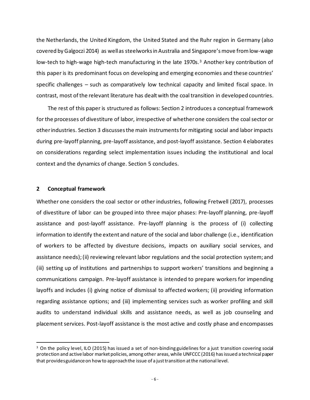the Netherlands, the United Kingdom, the United Stated and the Ruhr region in Germany (also covered by Galgoczi 2014) as well as steelworks in Australia and Singapore's move from low-wage low-tech to high-wage high-tech manufacturing in the late 1970s.<sup>[3](#page-7-1)</sup> Another key contribution of this paper is its predominant focus on developing and emerging economies and these countries' specific challenges – such as comparatively low technical capacity and limited fiscal space. In contrast, most of the relevant literature has dealt with the coal transition in developed countries.

The rest of this paper is structured as follows: Section 2 introduces a conceptual framework for the processes of divestiture of labor, irrespective of whether one considers the coal sector or other industries. Section 3 discusses the main instruments for mitigating social and labor impacts during pre-layoff planning, pre-layoff assistance, and post-layoff assistance. Section 4 elaborates on considerations regarding select implementation issues including the institutional and local context and the dynamics of change. Section 5 concludes.

#### <span id="page-7-0"></span>**2 Conceptual framework**

Whether one considers the coal sector or other industries, following Fretwell (2017), processes of divestiture of labor can be grouped into three major phases: Pre-layoff planning, pre-layoff assistance and post-layoff assistance. Pre-layoff planning is the process of (i) collecting information to identify the extent and nature of the social and labor challenge (i.e., identification of workers to be affected by divesture decisions, impacts on auxiliary social services, and assistance needs);(ii) reviewing relevant labor regulations and the social protection system; and (iii) setting up of institutions and partnerships to support workers' transitions and beginning a communications campaign. Pre-layoff assistance is intended to prepare workers for impending layoffs and includes (i) giving notice of dismissal to affected workers; (ii) providing information regarding assistance options; and (iii) implementing services such as worker profiling and skill audits to understand individual skills and assistance needs, as well as job counseling and placement services. Post-layoff assistance is the most active and costly phase and encompasses

<span id="page-7-1"></span><sup>&</sup>lt;sup>3</sup> On the policy level, ILO (2015) has issued a set of non-binding guidelines for a just transition covering social protection and active labor market policies, among other areas, while UNFCCC (2016) has issued a technical paper that provides guidance on how to approach the issue of a just transition at the national level.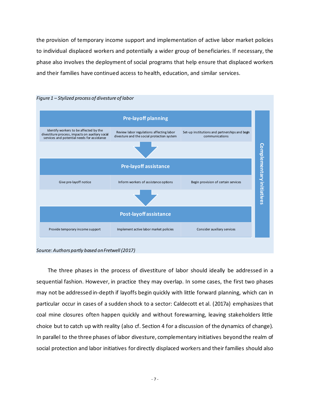the provision of temporary income support and implementation of active labor market policies to individual displaced workers and potentially a wider group of beneficiaries. If necessary, the phase also involves the deployment of social programs that help ensure that displaced workers and their families have continued access to health, education, and similar services.



*Source: Authors partly based on Fretwell (2017)*

The three phases in the process of divestiture of labor should ideally be addressed in a sequential fashion. However, in practice they may overlap. In some cases, the first two phases may not be addressed in-depth if layoffs begin quickly with little forward planning, which can in particular occur in cases of a sudden shock to a sector: Caldecott et al. (2017a) emphasizes that coal mine closures often happen quickly and without forewarning, leaving stakeholders little choice but to catch up with reality (also cf. Section 4 for a discussion of the dynamics of change). In parallel to the three phases of labor divesture, complementary initiatives beyond the realm of social protection and labor initiatives for directly displaced workers and their families should also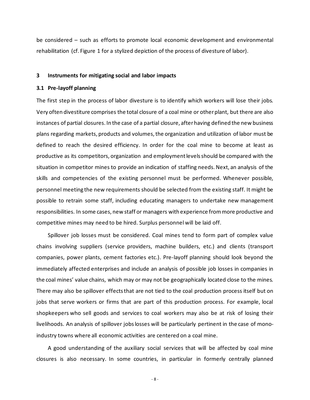be considered – such as efforts to promote local economic development and environmental rehabilitation (cf. Figure 1 for a stylized depiction of the process of divesture of labor).

#### <span id="page-9-0"></span>**3 Instruments for mitigating social and labor impacts**

#### <span id="page-9-1"></span>**3.1 Pre-layoff planning**

The first step in the process of labor divesture is to identify which workers will lose their jobs. Very often divestiture comprises the total closure of a coal mine or other plant, but there are also instances of partial closures. In the case of a partial closure, after having defined the new business plans regarding markets, products and volumes, the organization and utilization of labor must be defined to reach the desired efficiency. In order for the coal mine to become at least as productive as its competitors, organization and employment levels should be compared with the situation in competitor mines to provide an indication of staffing needs. Next, an analysis of the skills and competencies of the existing personnel must be performed. Whenever possible, personnel meeting the new requirements should be selected from the existing staff. It might be possible to retrain some staff, including educating managers to undertake new management responsibilities. In some cases, new staff or managers with experience from more productive and competitive mines may need to be hired. Surplus personnel will be laid off.

Spillover job losses must be considered. Coal mines tend to form part of complex value chains involving suppliers (service providers, machine builders, etc.) and clients (transport companies, power plants, cement factories etc.). Pre-layoff planning should look beyond the immediately affected enterprises and include an analysis of possible job losses in companies in the coal mines' value chains, which may or may not be geographically located close to the mines. There may also be spillover effects that are not tied to the coal production process itself but on jobs that serve workers or firms that are part of this production process. For example, local shopkeepers who sell goods and services to coal workers may also be at risk of losing their livelihoods. An analysis of spillover jobs losses will be particularly pertinent in the case of monoindustry towns where all economic activities are centered on a coal mine.

A good understanding of the auxiliary social services that will be affected by coal mine closures is also necessary. In some countries, in particular in formerly centrally planned

- 8 -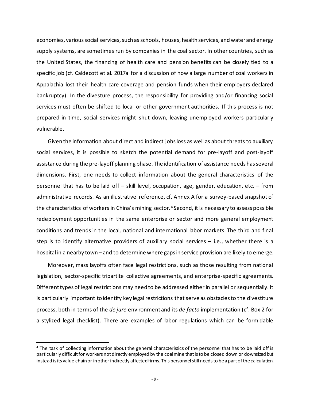economies, varioussocial services, such as schools, houses, health services, and water and energy supply systems, are sometimes run by companies in the coal sector. In other countries, such as the United States, the financing of health care and pension benefits can be closely tied to a specific job (cf. Caldecott et al. 2017a for a discussion of how a large number of coal workers in Appalachia lost their health care coverage and pension funds when their employers declared bankruptcy). In the divesture process, the responsibility for providing and/or financing social services must often be shifted to local or other government authorities. If this process is not prepared in time, social services might shut down, leaving unemployed workers particularly vulnerable.

Given the information about direct and indirect jobs loss as well as about threats to auxiliary social services, it is possible to sketch the potential demand for pre-layoff and post-layoff assistance during the pre-layoff planning phase. The identification of assistance needs has several dimensions. First, one needs to collect information about the general characteristics of the personnel that has to be laid off – skill level, occupation, age, gender, education, etc. – from administrative records. As an illustrative reference, cf. Annex A for a survey-based snapshot of the characteristics of workers in China's mining sector.<sup>[4](#page-10-0)</sup> Second, it is necessary to assess possible redeployment opportunities in the same enterprise or sector and more general employment conditions and trends in the local, national and international labor markets. The third and final step is to identify alternative providers of auxiliary social services – i.e., whether there is a hospital in a nearby town – and to determine where gaps in service provision are likely to emerge.

Moreover, mass layoffs often face legal restrictions, such as those resulting from national legislation, sector-specific tripartite collective agreements, and enterprise-specific agreements. Differenttypes of legal restrictions may need to be addressed either in parallel or sequentially. It is particularly important to identify key legal restrictions that serve as obstacles to the divestiture process, both in terms of the *de jure* environment and its *de facto* implementation (cf. Box 2 for a stylized legal checklist). There are examples of labor regulations which can be formidable

<span id="page-10-0"></span><sup>4</sup> The task of collecting information about the general characteristics of the personnel that has to be laid off is particularly difficult for workers not directly employed by the coal mine that is to be closed down or downsized but instead is its value chain or in other indirectly affected firms. This personnel still needs to be a part of the calculation.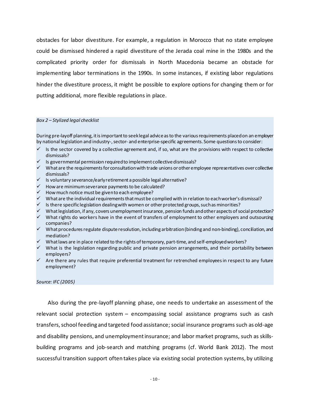obstacles for labor divestiture. For example, a regulation in Morocco that no state employee could be dismissed hindered a rapid divestiture of the Jerada coal mine in the 1980s and the complicated priority order for dismissals in North Macedonia became an obstacle for implementing labor terminations in the 1990s. In some instances, if existing labor regulations hinder the divestiture process, it might be possible to explore options for changing them or for putting additional, more flexible regulations in place.

#### *Box 2 – Stylized legal checklist*

During pre-layoff planning, it is important to seeklegal advice as to the various requirements placed on an employer by national legislation and industry-, sector- and enterprise-specific agreements. Some questions to consider:

- $\checkmark$  Is the sector covered by a collective agreement and, if so, what are the provisions with respect to collective dismissals?
- $\checkmark$  Is governmental permission required to implement collective dismissals?
- $\checkmark$  What are the requirements for consultation with trade unions or other employee representatives over collective dismissals?
- $\checkmark$  Is voluntary severance/early retirement a possible legal alternative?
- $\checkmark$  How are minimum severance payments to be calculated?
- $\checkmark$  How much notice must be given to each employee?
- $\checkmark$  What are the individual requirements that must be complied with in relation to each worker's dismissal?
- $\checkmark$  Is there specific legislation dealing with women or other protected groups, such as minorities?
- What legislation, if any, covers unemployment insurance, pension funds and other aspects of social protection?
- $\checkmark$  What rights do workers have in the event of transfers of employment to other employers and outsourcing companies?
- $\checkmark$  What procedures regulate dispute resolution, including arbitration (binding and non-binding), conciliation, and mediation?
- $\checkmark$  What laws are in place related to the rights of temporary, part-time, and self-employed workers?
- $\checkmark$  What is the legislation regarding public and private pension arrangements, and their portability between employers?
- $\checkmark$  Are there any rules that require preferential treatment for retrenched employees in respect to any future employment?

#### *Source: IFC (2005)*

Also during the pre-layoff planning phase, one needs to undertake an assessment of the relevant social protection system – encompassing social assistance programs such as cash transfers, school feeding and targeted food assistance; social insurance programs such as old-age and disability pensions, and unemployment insurance; and labor market programs, such as skillsbuilding programs and job-search and matching programs (cf. World Bank 2012). The most successful transition support often takes place via existing social protection systems, by utilizing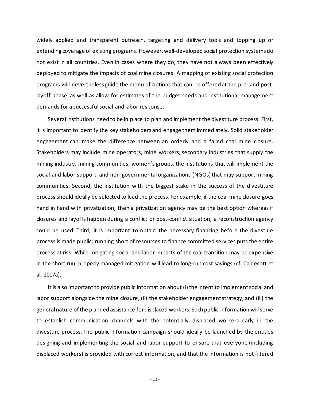widely applied and transparent outreach, targeting and delivery tools and topping up or extending coverage of existing programs. However, well-developed social protection systems do not exist in all countries. Even in cases where they do, they have not always been effectively deployed to mitigate the impacts of coal mine closures. A mapping of existing social protection programs will nevertheless guide the menu of options that can be offered at the pre- and postlayoff phase, as well as allow for estimates of the budget needs and institutional management demands for a successful social and labor response.

Several institutions need to be in place to plan and implement the divestiture process. First, it is important to identify the key stakeholders and engage them immediately. Solid stakeholder engagement can make the difference between an orderly and a failed coal mine closure. Stakeholders may include mine operators, mine workers, secondary industries that supply the mining industry, mining communities, women's groups, the institutions that will implement the social and labor support, and non-governmental organizations (NGOs) that may support mining communities. Second, the institution with the biggest stake in the success of the divestiture process should ideally be selected to lead the process. For example, if the coal mine closure goes hand in hand with privatization, then a privatization agency may be the best option whereas if closures and layoffs happen during a conflict or post-conflict situation, a reconstruction agency could be used. Third, it is important to obtain the necessary financing before the divesture process is made public; running short of resources to finance committed services puts the entire process at risk. While mitigating social and labor impacts of the coal transition may be expensive in the short run, properly managed mitigation will lead to long-run cost savings (cf. Caldecott et al. 2017a).

It is also important to provide public information about (i) the intent to implement social and labor support alongside the mine closure; (ii) the stakeholder engagement strategy; and (iii) the general nature of the planned assistance for displaced workers. Such public information will serve to establish communication channels with the potentially displaced workers early in the divesture process. The public information campaign should ideally be launched by the entities designing and implementing the social and labor support to ensure that everyone (including displaced workers) is provided with correct information, and that the information is not filtered

- 11 -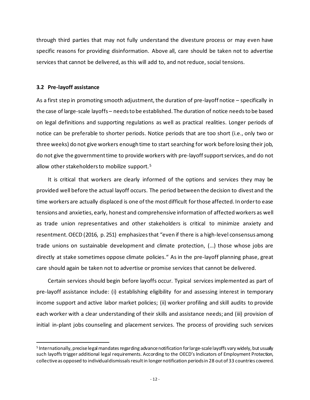through third parties that may not fully understand the divesture process or may even have specific reasons for providing disinformation. Above all, care should be taken not to advertise services that cannot be delivered, as this will add to, and not reduce, social tensions.

#### <span id="page-13-0"></span>**3.2 Pre-layoff assistance**

As a first step in promoting smooth adjustment, the duration of pre-layoff notice – specifically in the case of large-scale layoffs – needs to be established. The duration of notice needs to be based on legal definitions and supporting regulations as well as practical realities. Longer periods of notice can be preferable to shorter periods. Notice periods that are too short (i.e., only two or three weeks) do not give workers enough time to start searching for work before losing their job, do not give the government time to provide workers with pre-layoff support services, and do not allow other stakeholders to mobilize support.<sup>[5](#page-13-1)</sup>

It is critical that workers are clearly informed of the options and services they may be provided well before the actual layoff occurs. The period between the decision to divest and the time workers are actually displaced is one of the most difficult for those affected. In order to ease tensions and anxieties, early, honest and comprehensive information of affected workers as well as trade union representatives and other stakeholders is critical to minimize anxiety and resentment. OECD (2016, p. 251) emphasizes that "even if there is a high-level consensus among trade unions on sustainable development and climate protection, (…) those whose jobs are directly at stake sometimes oppose climate policies." As in the pre-layoff planning phase, great care should again be taken not to advertise or promise services that cannot be delivered.

Certain services should begin before layoffs occur. Typical services implemented as part of pre-layoff assistance include: (i) establishing eligibility for and assessing interest in temporary income support and active labor market policies; (ii) worker profiling and skill audits to provide each worker with a clear understanding of their skills and assistance needs; and (iii) provision of initial in-plant jobs counseling and placement services. The process of providing such services

<span id="page-13-1"></span><sup>5</sup> Internationally, precise legal mandates regarding advance notification for large-scale layoffs vary widely, but usually such layoffs trigger additional legal requirements. According to the OECD's Indicators of Employment Protection, collective as opposed to individual dismissals result in longer notification periods in 28 out of 33 countries covered.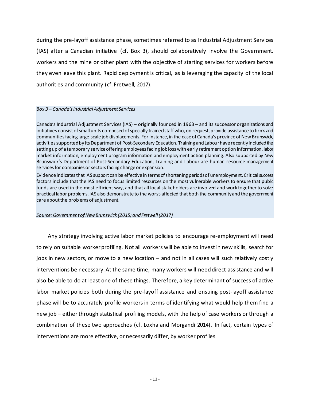during the pre-layoff assistance phase, sometimes referred to as Industrial Adjustment Services (IAS) after a Canadian initiative (cf. Box 3), should collaboratively involve the Government, workers and the mine or other plant with the objective of starting services for workers before they even leave this plant. Rapid deployment is critical, as is leveraging the capacity of the local authorities and community (cf. Fretwell, 2017).

#### *Box 3 – Canada's Industrial Adjustment Services*

Canada's Industrial Adjustment Services (IAS) – originally founded in 1963 – and its successor organizations and initiatives consist of small units composed of specially trained staff who, on request, provide assistance to firms and communities facing large-scale job displacements. For instance, in the case of Canada's province of New Brunswick, activities supported by its Department of Post-Secondary Education, Training and Labour have recently included the setting up of a temporary service offering employees facing job loss with early retirement option information, labor market information, employment program information and employment action planning. Also supported by New Brunswick's Department of Post-Secondary Education, Training and Labour are human resource management services for companies or sectors facing change or expansion.

Evidence indicates that IAS support can be effective in terms of shortening periods of unemployment. Critical success factors include that the IAS need to focus limited resources on the most vulnerable workers to ensure that public funds are used in the most efficient way, and that all local stakeholders are involved and work together to solve practical labor problems. IAS also demonstrate to the worst-affected that both the community and the government care about the problems of adjustment.

*Source: Government of New Brunswick (2015) and Fretwell (2017)*

Any strategy involving active labor market policies to encourage re-employment will need to rely on suitable worker profiling. Not all workers will be able to invest in new skills, search for jobs in new sectors, or move to a new location – and not in all cases will such relatively costly interventions be necessary. At the same time, many workers will need direct assistance and will also be able to do at least one of these things. Therefore, a key determinant of success of active labor market policies both during the pre-layoff assistance and ensuing post-layoff assistance phase will be to accurately profile workers in terms of identifying what would help them find a new job – either through statistical profiling models, with the help of case workers or through a combination of these two approaches (cf. Loxha and Morgandi 2014). In fact, certain types of interventions are more effective, or necessarily differ, by worker profiles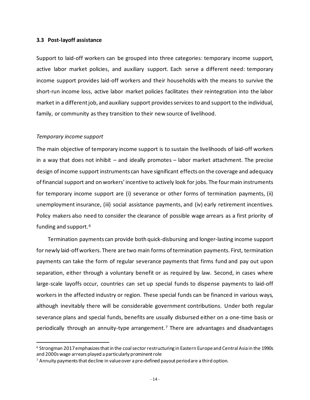#### <span id="page-15-0"></span>**3.3 Post-layoff assistance**

Support to laid-off workers can be grouped into three categories: temporary income support, active labor market policies, and auxiliary support. Each serve a different need: temporary income support provides laid-off workers and their households with the means to survive the short-run income loss, active labor market policies facilitates their reintegration into the labor market in a different job, and auxiliary support provides services to and support to the individual, family, or community as they transition to their new source of livelihood.

#### <span id="page-15-1"></span>*Temporary income support*

The main objective of temporary income support is to sustain the livelihoods of laid-off workers in a way that does not inhibit – and ideally promotes – labor market attachment. The precise design of income support instruments can have significant effects on the coverage and adequacy of financial support and on workers' incentive to actively look for jobs. The four main instruments for temporary income support are (i) severance or other forms of termination payments, (ii) unemployment insurance, (iii) social assistance payments, and (iv) early retirement incentives. Policy makers also need to consider the clearance of possible wage arrears as a first priority of funding and support.<sup>[6](#page-15-2)</sup>

Termination payments can provide both quick-disbursing and longer-lasting income support for newly laid-off workers. There are two main forms of termination payments. First, termination payments can take the form of regular severance payments that firms fund and pay out upon separation, either through a voluntary benefit or as required by law. Second, in cases where large-scale layoffs occur, countries can set up special funds to dispense payments to laid-off workers in the affected industry or region. These special funds can be financed in various ways, although inevitably there will be considerable government contributions. Under both regular severance plans and special funds, benefits are usually disbursed either on a one-time basis or periodically through an annuity-type arrangement.[7](#page-15-3) There are advantages and disadvantages

<span id="page-15-2"></span><sup>6</sup> Strongman 2017 emphasizes that in the coal sector restructuring in Eastern Europe and Central Asia in the 1990s and 2000s wage arrears played a particularly prominent role

<span id="page-15-3"></span><sup>7</sup> Annuity payments that decline in value over a pre-defined payout period are a third option.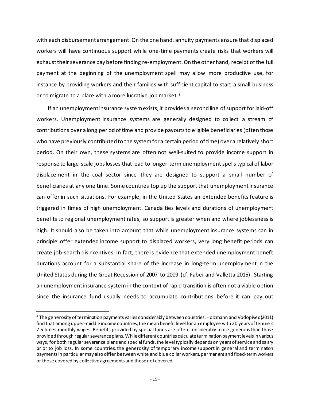with each disbursement arrangement. On the one hand, annuity payments ensure that displaced workers will have continuous support while one-time payments create risks that workers will exhaust their severance pay before finding re-employment. On the other hand, receipt of the full payment at the beginning of the unemployment spell may allow more productive use, for instance by providing workers and their families with sufficient capital to start a small business or to migrate to a place with a more lucrative job market.<sup>[8](#page-16-0)</sup>

If an unemployment insurance system exists, it provides a second line of support for laid-off workers. Unemployment insurance systems are generally designed to collect a stream of contributions over a long period of time and provide payouts to eligible beneficiaries (often those who have previously contributed to the system for a certain period of time) over a relatively short period. On their own, these systems are often not well-suited to provide income support in response to large-scale jobs losses that lead to longer-term unemployment spells typical of labor displacement in the coal sector since they are designed to support a small number of beneficiaries at any one time. Some countries top up the support that unemployment insurance can offer in such situations. For example, in the United States an extended benefits feature is triggered in times of high unemployment. Canada ties levels and durations of unemployment benefits to regional unemployment rates, so support is greater when and where joblessness is high. It should also be taken into account that while unemployment insurance systems can in principle offer extended income support to displaced workers, very long benefit periods can create job-search disincentives. In fact, there is evidence that extended unemployment benefit durations account for a substantial share of the increase in long-term unemployment in the United States during the Great Recession of 2007 to 2009 (cf. Faber and Valletta 2015). Starting an unemployment insurance system in the context of rapid transition is often not a viable option since the insurance fund usually needs to accumulate contributions before it can pay out

<span id="page-16-0"></span><sup>8</sup> The generosity of termination payments varies considerably between countries. Holzmann and Vodopivec (2011) find that among upper-middle income countries, the mean benefit level for an employee with 20 years of tenure is 7.5 times monthly wages. Benefits provided by special funds are often considerably more generous than those provided through regular severance plans. While different countries calculate termination payment levels in various ways, for both regular severance plans and special funds, the level typically depends on years of service and salary prior to job loss. In some countries, the generosity of temporary income support in general and termination payments in particular may also differ between white and blue collar workers, permanent and fixed-term workers or those covered by collective agreements and those not covered.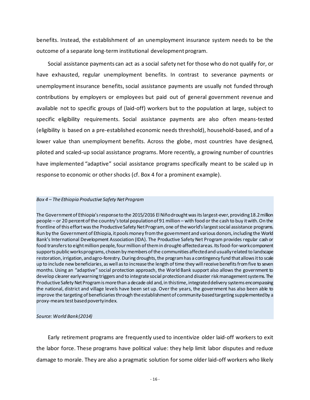benefits. Instead, the establishment of an unemployment insurance system needs to be the outcome of a separate long-term institutional development program.

Social assistance payments can act as a social safety net for those who do not qualify for, or have exhausted, regular unemployment benefits. In contrast to severance payments or unemployment insurance benefits, social assistance payments are usually not funded through contributions by employers or employees but paid out of general government revenue and available not to specific groups of (laid-off) workers but to the population at large, subject to specific eligibility requirements. Social assistance payments are also often means-tested (eligibility is based on a pre-established economic needs threshold), household-based, and of a lower value than unemployment benefits. Across the globe, most countries have designed, piloted and scaled-up social assistance programs. More recently, a growing number of countries have implemented "adaptive" social assistance programs specifically meant to be scaled up in response to economic or other shocks (cf. Box 4 for a prominent example).

#### *Box 4 – The Ethiopia Productive Safety Net Program*

The Government of Ethiopia's response to the 2015/2016 El Niño drought was its largest-ever, providing 18.2 million people – or 20 percent of the country's total population of 91 million – with food or the cash to buy it with. On the frontline of this effort was the Productive Safety Net Program, one of the world's largest social assistance programs. Run by the Governmentof Ethiopia, it pools money from the government and various donors, including the World Bank's International Development Association (IDA). The Productive Safety Net Program provides regular cash or food transfers to eight million people, four million of them in drought-affected areas. Its food-for-work component supports public works programs, chosen by members of the communities affected and usually related to landscape restoration, irrigation, and agro-forestry. During droughts, the program has a contingency fund that allows it to scale up to include new beneficiaries, as well as to increase the length of time they will receive benefits from five to seven months. Using an "adaptive" social protection approach, the World Bank support also allows the government to develop clearer early warning triggers and to integrate social protection and disaster risk management systems. The Productive Safety Net Program is more than a decade old and, in this time, integrated delivery systems encompassing the national, district and village levels have been set up. Over the years, the government has also been able to improve the targeting of beneficiaries through the establishment of community-based targeting supplemented by a proxy-means test based poverty index.

#### *Source: World Bank (2014)*

Early retirement programs are frequently used to incentivize older laid-off workers to exit the labor force. These programs have political value: they help limit labor disputes and reduce damage to morale. They are also a pragmatic solution for some older laid-off workers who likely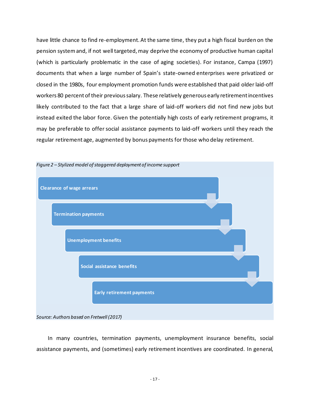have little chance to find re-employment. At the same time, they put a high fiscal burden on the pension system and, if not well targeted, may deprive the economy of productive human capital (which is particularly problematic in the case of aging societies). For instance, Campa (1997) documents that when a large number of Spain's state-owned enterprises were privatized or closed in the 1980s, four employment promotion funds were established that paid older laid-off workers 80 percent of their previous salary. These relatively generous early retirement incentives likely contributed to the fact that a large share of laid-off workers did not find new jobs but instead exited the labor force. Given the potentially high costs of early retirement programs, it may be preferable to offer social assistance payments to laid-off workers until they reach the regular retirement age, augmented by bonus payments for those who delay retirement.



In many countries, termination payments, unemployment insurance benefits, social assistance payments, and (sometimes) early retirement incentives are coordinated. In general,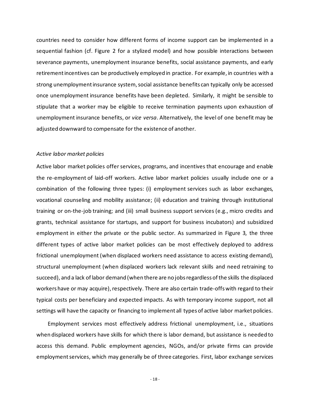countries need to consider how different forms of income support can be implemented in a sequential fashion (cf. Figure 2 for a stylized model) and how possible interactions between severance payments, unemployment insurance benefits, social assistance payments, and early retirement incentives can be productively employed in practice. For example, in countries with a strong unemployment insurance system, social assistance benefits can typically only be accessed once unemployment insurance benefits have been depleted. Similarly, it might be sensible to stipulate that a worker may be eligible to receive termination payments upon exhaustion of unemployment insurance benefits, or *vice versa*. Alternatively, the level of one benefit may be adjusted downward to compensate for the existence of another.

#### <span id="page-19-0"></span>*Active labor market policies*

Active labor market policies offer services, programs, and incentives that encourage and enable the re-employment of laid-off workers. Active labor market policies usually include one or a combination of the following three types: (i) employment services such as labor exchanges, vocational counseling and mobility assistance; (ii) education and training through institutional training or on-the-job training; and (iii) small business support services (e.g., micro credits and grants, technical assistance for startups, and support for business incubators) and subsidized employment in either the private or the public sector. As summarized in Figure 3, the three different types of active labor market policies can be most effectively deployed to address frictional unemployment (when displaced workers need assistance to access existing demand), structural unemployment (when displaced workers lack relevant skills and need retraining to succeed), and a lack of labor demand (when there are no jobs regardless of the skills the displaced workers have or may acquire), respectively. There are also certain trade-offs with regard to their typical costs per beneficiary and expected impacts. As with temporary income support, not all settings will have the capacity or financing to implement all types of active labor market policies.

Employment services most effectively address frictional unemployment, i.e., situations when displaced workers have skills for which there is labor demand, but assistance is needed to access this demand. Public employment agencies, NGOs, and/or private firms can provide employment services, which may generally be of three categories. First, labor exchange services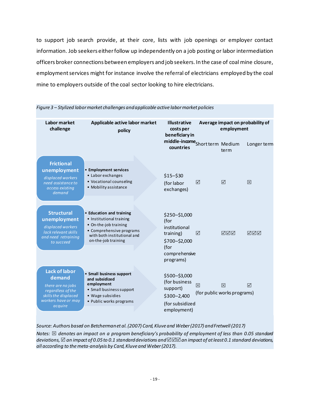to support job search provide, at their core, lists with job openings or employer contact information. Job seekers either follow up independently on a job posting or labor intermediation officers broker connections between employers and job seekers. In the case of coal mine closure, employment services might for instance involve the referral of electricians employed by the coal mine to employers outside of the coal sector looking to hire electricians.

| Labor market<br>challenge                                                                                                          | Applicable active labor market<br>policy                                                                                                                        |  | <b>Illustrative</b><br>costs per<br>beneficiary in                                                         | Average impact on probability of<br>employment |                                  |             |
|------------------------------------------------------------------------------------------------------------------------------------|-----------------------------------------------------------------------------------------------------------------------------------------------------------------|--|------------------------------------------------------------------------------------------------------------|------------------------------------------------|----------------------------------|-------------|
|                                                                                                                                    |                                                                                                                                                                 |  | middle-income <sub>Shortterm</sub> Medium<br>countries                                                     |                                                | term                             | Longer term |
| <b>Frictional</b><br>unemployment<br>displaced workers<br>need assistance to<br>access existing<br>demand                          | • Employment services<br>• Labor exchanges<br>• Vocational counseling<br>• Mobility assistance                                                                  |  | $$15 - $30$<br>(for labor<br>exchanges)                                                                    | ⊠                                              | ☑                                | 冈           |
| <b>Structural</b><br>unemployment<br>displaced workers<br>lack relevant skills<br>and need retraining<br>to succeed                | • Education and training<br>• Institutional training<br>• On-the-job training<br>• Comprehensive programs<br>with both institutional and<br>on-the-job training |  | \$250-\$1,000<br>(for<br>institutional<br>training)<br>\$700-\$2,000<br>(for<br>comprehensive<br>programs) | ☑                                              | ☑☑☑                              | ☑⊠⊠         |
| <b>Lack of labor</b><br>demand<br>there are no jobs<br>regardless of the<br>skills the displaced<br>workers have or may<br>acquire | • Small business support<br>and subsidized<br>employment<br>• Small business support<br>• Wage subsidies<br>• Public works programs                             |  | \$500-\$3,000<br>(for business<br>support)<br>$$300 - 2,400$<br>(for subsidized<br>employment)             | 区                                              | 冈<br>(for public works programs) | ☑           |

*Figure 3 – Stylized labor market challenges and applicable active labor market policies*

*Source: Authors based on Betcherman et al. (2007) Card, Kluve and Weber (2017) and Fretwell (2017)*

*Notes: denotes an impact on a program beneficiary's probability of employment of less than 0.05 standard deviations, an impact of 0.05 to 0.1 standard deviations and an impact of at least 0.1 standard deviations, all according to the meta-analysis by Card, Kluve and Weber(2017).*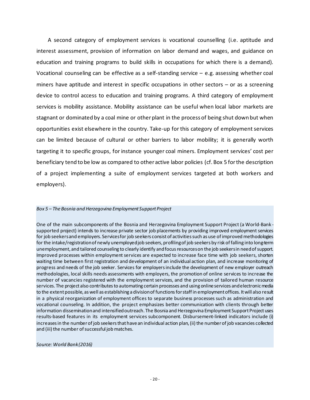A second category of employment services is vocational counselling (i.e. aptitude and interest assessment, provision of information on labor demand and wages, and guidance on education and training programs to build skills in occupations for which there is a demand). Vocational counseling can be effective as a self-standing service – e.g. assessing whether coal miners have aptitude and interest in specific occupations in other sectors – or as a screening device to control access to education and training programs. A third category of employment services is mobility assistance. Mobility assistance can be useful when local labor markets are stagnant or dominated by a coal mine or other plant in the process of being shut down but when opportunities exist elsewhere in the country. Take-up for this category of employment services can be limited because of cultural or other barriers to labor mobility; it is generally worth targeting it to specific groups, for instance younger coal miners. Employment services' cost per beneficiary tend to be low as compared to other active labor policies (cf. Box 5 for the description of a project implementing a suite of employment services targeted at both workers and employers).

#### *Box 5 – The Bosnia and Herzegovina Employment Support Project*

One of the main subcomponents of the Bosnia and Herzegovina Employment Support Project (a World-Bank supported project) intends to increase private sector job placements by providing improved employment services for job seekers and employers. Services for job seekers consist of activities such as use of improved methodologies for the intake/registration of newly unemployedjob seekers, profilingof job seekers by risk of falling into long-term unemployment, and tailored counseling to clearly identify and focus resources on the job seekers in need of support. Improved processes within employment services are expected to increase face time with job seekers, shorten waiting time between first registration and development of an individual action plan, and increase monitoring of progress and needs of the job seeker. Services for employers include the development of new employer outreach methodologies, local skills needs assessments with employers, the promotion of online services to increase the number of vacancies registered with the employment services, and the provision of tailored human resource services. The project also contributes to automating certain processes and using online services and electronic media to the extent possible, as well as establishing a division of functions for staff in employment offices. It will also result in a physical reorganization of employment offices to separate business processes such as administration and vocational counseling. In addition, the project emphasizes better communication with clients through better information dissemination and intensified outreach. The Bosnia and Herzegovina Employment Support Project uses results-based features in its employment services subcomponent. Disbursement-linked indicators include (i) increases in the number of job seekers that have an individual action plan, (ii) the number of job vacancies collected and (iii) the number of successful job matches.

#### *Source: World Bank(2016)*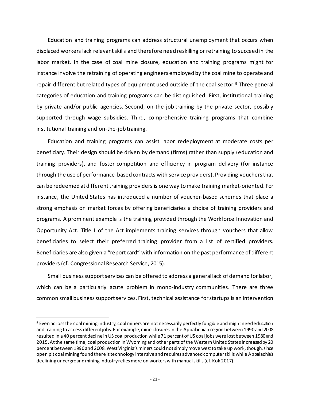Education and training programs can address structural unemployment that occurs when displaced workers lack relevantskills and therefore need reskilling or retraining to succeed in the labor market. In the case of coal mine closure, education and training programs might for instance involve the retraining of operating engineers employed by the coal mine to operate and repair different but related types of equipment used outside of the coal sector. [9](#page-22-0) Three general categories of education and training programs can be distinguished. First, institutional training by private and/or public agencies. Second, on-the-job training by the private sector, possibly supported through wage subsidies. Third, comprehensive training programs that combine institutional training and on-the-job training.

Education and training programs can assist labor redeployment at moderate costs per beneficiary. Their design should be driven by demand (firms) rather than supply (education and training providers), and foster competition and efficiency in program delivery (for instance through the use of performance-based contracts with service providers). Providing vouchers that can be redeemed at different training providers is one way to make training market-oriented. For instance, the United States has introduced a number of voucher-based schemes that place a strong emphasis on market forces by offering beneficiaries a choice of training providers and programs. A prominent example is the training provided through the Workforce Innovation and Opportunity Act. Title I of the Act implements training services through vouchers that allow beneficiaries to select their preferred training provider from a list of certified providers. Beneficiaries are also given a "report card" with information on the past performance of different providers (cf. Congressional Research Service, 2015).

Small business support services can be offered to address a general lack of demand for labor, which can be a particularly acute problem in mono-industry communities. There are three common small business support services. First, technical assistance for startups is an intervention

<span id="page-22-0"></span><sup>9</sup> Even across the coal mining industry, coal miners are not necessarily perfectly fungible and might need education and training to access different jobs. For example, mine closures in the Appalachian region between 1990and 2008 resulted in a 40 percent decline in US coal production while 71 percent of US coal jobs were lost between 1980 and 2015. At the same time, coal production in Wyoming and other parts of the Western United States increased by 20 percent between 1990 and 2008. West Virginia's miners could not simply move west to take up work, though, since open pit coal mining found there is technology intensive and requires advanced computer skills while Appalachia's declining underground mining industry relies more on workers with manual skills(cf. Kok 2017).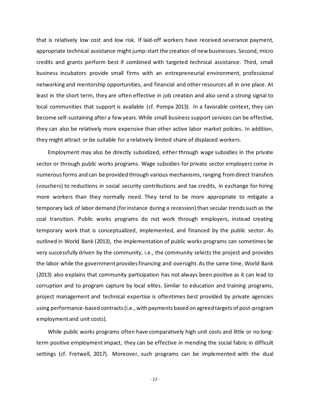that is relatively low cost and low risk. If laid-off workers have received severance payment, appropriate technical assistance might jump-start the creation of new businesses. Second, micro credits and grants perform best if combined with targeted technical assistance. Third, small business incubators provide small firms with an entrepreneurial environment, professional networking and mentorship opportunities, and financial and other resources all in one place. At least in the short term, they are often effective in job creation and also send a strong signal to local communities that support is available (cf. Pompa 2013). In a favorable context, they can become self-sustaining after a few years. While small business support services can be effective, they can also be relatively more expensive than other active labor market policies. In addition, they might attract or be suitable for a relatively limited share of displaced workers.

Employment may also be directly subsidized, either through wage subsidies in the private sector or through public works programs. Wage subsidies for private sector employers come in numerous forms and can be provided through various mechanisms, ranging from direct transfers (vouchers) to reductions in social security contributions and tax credits, in exchange for hiring more workers than they normally need. They tend to be more appropriate to mitigate a temporary lack of labor demand (for instance during a recession) than secular trends such as the coal transition. Public works programs do not work through employers, instead creating temporary work that is conceptualized, implemented, and financed by the public sector. As outlined in World Bank (2013), the implementation of public works programs can sometimes be very successfully driven by the community, i.e., the community selects the project and provides the labor while the government provides financing and oversight. As the same time, World Bank (2013) also explains that community participation has not always been positive as it can lead to corruption and to program capture by local elites. Similar to education and training programs, project management and technical expertise is oftentimes best provided by private agencies using performance-based contracts (i.e., with payments based on agreed targets of post-program employment and unit costs).

While public works programs often have comparatively high unit costs and little or no longterm positive employment impact, they can be effective in mending the social fabric in difficult settings (cf. Fretwell, 2017). Moreover, such programs can be implemented with the dual

- 22 -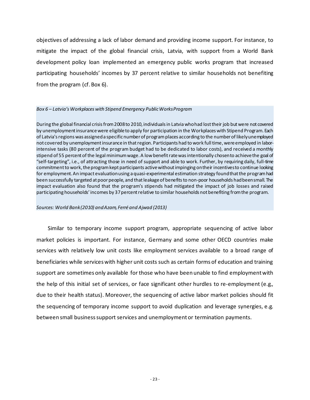objectives of addressing a lack of labor demand and providing income support. For instance, to mitigate the impact of the global financial crisis, Latvia, with support from a World Bank development policy loan implemented an emergency public works program that increased participating households' incomes by 37 percent relative to similar households not benefiting from the program (cf. Box 6).

#### *Box 6 – Latvia's Workplaces with Stipend Emergency Public Works Program*

During the global financial crisis from 2008 to 2010, individuals in Latvia who had lost their job but were not covered by unemployment insurance were eligible to apply for participation in the Workplaces with Stipend Program. Each of Latvia's regions was assigned a specific number of program places according to the number of likely unemployed not covered by unemployment insurance in that region. Participants had to work full time, were employed in laborintensive tasks (80 percent of the program budget had to be dedicated to labor costs), and received a monthly stipend of 55 percent of the legal minimum wage. A low benefit rate wasintentionally chosen to achieve the goal of "self-targeting", i.e., of attracting those in need of support and able to work. Further, by requiring daily, full-time commitment to work, the program kept participants active without impinging on their incentives to continue looking for employment. An impact evaluation using a quasi-experimental estimation strategy found that the program had been successfully targeted at poor people, and that leakage of benefits to non-poor households had been small. The impact evaluation also found that the program's stipends had mitigated the impact of job losses and raised participating households' incomes by 37 percent relative to similar households not benefiting from the program.

#### *Sources: World Bank (2010) and Azam, Ferré and Ajwad (2013)*

Similar to temporary income support program, appropriate sequencing of active labor market policies is important. For instance, Germany and some other OECD countries make services with relatively low unit costs like employment services available to a broad range of beneficiaries while services with higher unit costs such as certain forms of education and training support are sometimes only available for those who have been unable to find employment with the help of this initial set of services, or face significant other hurdles to re-employment (e.g., due to their health status). Moreover, the sequencing of active labor market policies should fit the sequencing of temporary income support to avoid duplication and leverage synergies, e.g. between small business support services and unemployment or termination payments.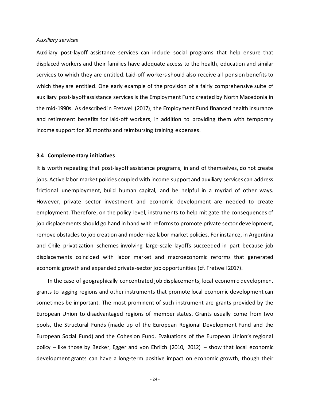#### <span id="page-25-0"></span>*Auxiliary services*

Auxiliary post-layoff assistance services can include social programs that help ensure that displaced workers and their families have adequate access to the health, education and similar services to which they are entitled. Laid-off workers should also receive all pension benefits to which they are entitled. One early example of the provision of a fairly comprehensive suite of auxiliary post-layoff assistance services is the Employment Fund created by North Macedonia in the mid-1990s. As described in Fretwell (2017), the Employment Fund financed health insurance and retirement benefits for laid-off workers, in addition to providing them with temporary income support for 30 months and reimbursing training expenses.

#### <span id="page-25-1"></span>**3.4 Complementary initiatives**

It is worth repeating that post-layoff assistance programs, in and of themselves, do not create jobs. Active labor market policies coupled with income support and auxiliary services can address frictional unemployment, build human capital, and be helpful in a myriad of other ways. However, private sector investment and economic development are needed to create employment. Therefore, on the policy level, instruments to help mitigate the consequences of job displacements should go hand in hand with reforms to promote private sector development, remove obstacles to job creation and modernize labor market policies. For instance, in Argentina and Chile privatization schemes involving large-scale layoffs succeeded in part because job displacements coincided with labor market and macroeconomic reforms that generated economic growth and expanded private-sector job opportunities (cf. Fretwell 2017).

In the case of geographically concentrated job displacements, local economic development grants to lagging regions and other instruments that promote local economic development can sometimes be important. The most prominent of such instrument are grants provided by the European Union to disadvantaged regions of member states. Grants usually come from two pools, the Structural Funds (made up of the European Regional Development Fund and the European Social Fund) and the Cohesion Fund. Evaluations of the European Union's regional policy – like those by Becker, Egger and von Ehrlich (2010, 2012) – show that local economic development grants can have a long-term positive impact on economic growth, though their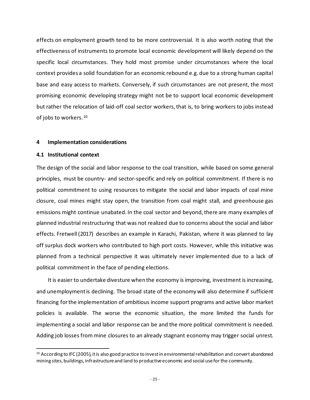effects on employment growth tend to be more controversial. It is also worth noting that the effectiveness of instruments to promote local economic development will likely depend on the specific local circumstances. They hold most promise under circumstances where the local context provides a solid foundation for an economic rebound e.g. due to a strong human capital base and easy access to markets. Conversely, if such circumstances are not present, the most promising economic developing strategy might not be to support local economic development but rather the relocation of laid-off coal sector workers, that is, to bring workers to jobs instead of jobs to workers.[10](#page-26-2)

#### <span id="page-26-0"></span>**4 Implementation considerations**

#### <span id="page-26-1"></span>**4.1 Institutional context**

The design of the social and labor response to the coal transition, while based on some general principles, must be country- and sector-specific and rely on political commitment. If there is no political commitment to using resources to mitigate the social and labor impacts of coal mine closure, coal mines might stay open, the transition from coal might stall, and greenhouse gas emissions might continue unabated. In the coal sector and beyond, there are many examples of planned industrial restructuring that was not realized due to concerns about the social and labor effects. Fretwell (2017) describes an example in Karachi, Pakistan, where it was planned to lay off surplus dock workers who contributed to high port costs. However, while this initiative was planned from a technical perspective it was ultimately never implemented due to a lack of political commitment in the face of pending elections.

It is easier to undertake divesture when the economy is improving, investment is increasing, and unemployment is declining. The broad state of the economy will also determine if sufficient financing for the implementation of ambitious income support programs and active labor market policies is available. The worse the economic situation, the more limited the funds for implementing a social and labor response can be and the more political commitment is needed. Adding job losses from mine closures to an already stagnant economy may trigger social unrest.

<span id="page-26-2"></span><sup>&</sup>lt;sup>10</sup> According to IFC (2005), it is also good practice to invest in environmental rehabilitation and convert abandoned mining sites, buildings, infrastructure and land to productive economic and social use for the community.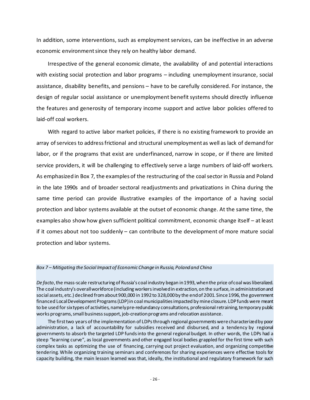In addition, some interventions, such as employment services, can be ineffective in an adverse economic environment since they rely on healthy labor demand.

Irrespective of the general economic climate, the availability of and potential interactions with existing social protection and labor programs – including unemployment insurance, social assistance, disability benefits, and pensions – have to be carefully considered. For instance, the design of regular social assistance or unemployment benefit systems should directly influence the features and generosity of temporary income support and active labor policies offered to laid-off coal workers.

With regard to active labor market policies, if there is no existing framework to provide an array of services to address frictional and structural unemployment as well as lack of demand for labor, or if the programs that exist are underfinanced, narrow in scope, or if there are limited service providers, it will be challenging to effectively serve a large numbers of laid-off workers. As emphasized in Box 7, the examples of the restructuring of the coal sector in Russia and Poland in the late 1990s and of broader sectoral readjustments and privatizations in China during the same time period can provide illustrative examples of the importance of a having social protection and labor systems available at the outset of economic change. At the same time, the examples also show how given sufficient political commitment, economic change itself – at least if it comes about not too suddenly – can contribute to the development of more mature social protection and labor systems.

#### *Box 7 – Mitigating the Social Impact of Economic Change in Russia, Poland and China*

*De facto*, the mass-scale restructuring of Russia's coal industry began in1993, when the price of coal was liberalized. The coal industry's overall workforce (including workers involved in extraction, on the surface, in administration and social assets, etc.) declined from about 900,000 in 1992 to 328,000 by the end of 2001. Since 1996, the government financed Local Development Programs (LDP) in coal municipalities impacted by mine closure. LDP funds were meant to be used for six types of activities, namely pre-redundancy consultations, professional retraining, temporary public works programs, small business support, job-creation programs and relocation assistance.

The first two years of the implementation of LDPsthrough regional governments were characterized by poor administration, a lack of accountability for subsidies received and disbursed, and a tendency by regional governments to absorb the targeted LDP funds into the general regional budget. In other words, the LDPs had a steep "learning curve", as local governments and other engaged local bodies grappled for the first time with such complex tasks as optimizing the use of financing, carrying out project evaluation, and organizing competitive tendering. While organizing training seminars and conferences for sharing experiences were effective tools for capacity building, the main lesson learned was that, ideally, the institutional and regulatory framework for such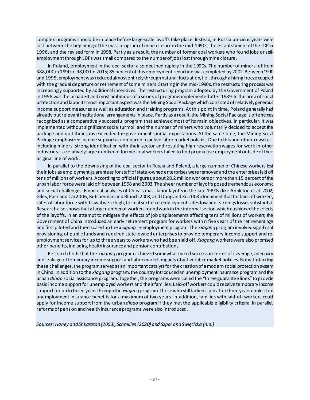complex programs should be in place before large-scale layoffs take place. Instead, in Russia precious years were lost between the beginning of the mass program of mine closure in the mid-1990s, the establishment of the LDP in 1996, and the revised form in 1998. Partly as a result, the number of former coal workers who found jobs or selfemployment through LDPs was small compared to the number of jobs lost through mine closure.

In Poland, employment in the coal sector also declined rapidly in the 1990s. The number of minersfell from 388,000 in 1990 to 98,000 in 2015; 85 percent of this employment reduction was completed by 2002. Between 1990 and 1995, employment was reduced almost entirely through natural fluctuation, i.e., through a hiring freeze coupled with the gradual departure or retirement of some miners. Starting in the mid-1990s, the restructuring process was increasingly supported by additional incentives. The restructuring program adopted by the Government of Poland in 1998 was the broadest and most ambitious of a series of programs implementedafter 1989. In the area of social protection and labor its most important aspect was the Mining Social Package which consisted of relatively generous income support measures as well as education and training programs. At this point in time, Poland generally had already put relevant institutional arrangements in place. Partly as a result, the Mining Social Package is oftentimes recognized as a comparatively successful program that achieved most of its main objectives. In particular, it was implemented without significant social turmoil and the number of miners who voluntarily decided to accept the package and quit their jobs exceeded the government's initial expectations. At the same time, the Mining Social Package emphasized income support as compared to active labor market policies. Due to this and other reasons – including miners' strong identification with their sector and resulting high reservation wages for work in other industries – a relatively large number of former coal workers failed to find productive employment outside of their original line of work.

In parallel to the downsizing of the coal sector in Russia and Poland, a large number of Chinese workers lost their jobs as employment guarantees for staff of state-owned enterprises were removed and the enterprises laid off tens of millions of workers. According to official figures, about 28.2 million workers or more than 15 percent of the urban labor force were laid off between 1998 and 2003. The sheer number of layoffs posed tremendous economic and social challenges. Empirical analyses of China's mass labor layoffsin the late 1990s (like Appleton et al. 2002, Giles, Park and Cai 2006, Betcherman and Blunch 2008, and Dong and Xu 2008) document that for laid-off workers, rates of labor force withdrawal were high, formal sector re-employment rates low and earnings losses substantial. Research also shows that a large number of workers found work in the informal sector, which cushioned the effects of the layoffs. In an attempt to mitigate the effects of job displacements affecting tens of millions of workers, the Government of China introduced an early retirement program for workers within five years of the retirement age and first piloted and then scaled up the *xiagang*re-employment program. The *xiagang*program involved significant provisioning of public funds and required state-owned enterprises to provide temporary income support and reemployment services for up to three years to workers who had been laid off. *Xiagang* workers were also promised other benefits, including health insurance and pension contributions.

Research finds that the *xiagang* program achieved somewhat mixed success in terms of coverage, adequacy and leakage of temporary income support and labor market impacts of active labor market policies. Notwithstanding these challenges, the program served as an important catalyst for the creation of a modern social protection system in China. In addition to the *xiagang*program, the country introduced an unemployment insurance program and the urban *dibao* social assistance program. Together, the programs were called the "threeguarantee lines" to provide basic income support for unemployed workers and their families: Laid-offworkers could receive temporary income support for up to three years through the *xiagang*program. Those who still lacked a job after three years could claim unemployment insurance benefits for a maximum of two years. In addition, families with laid-off workers could apply for income support from the urban *dibao* program if they met the applicable eligibility criteria. In parallel, reforms of pension and health insurance programs were also introduced.

*Sources: Haney and Shkaratan (2003), Schmillen (2020) and Szpor and Święcicka (n.d.)*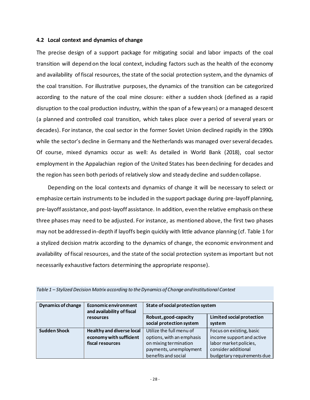#### <span id="page-29-0"></span>**4.2 Local context and dynamics of change**

The precise design of a support package for mitigating social and labor impacts of the coal transition will depend on the local context, including factors such as the health of the economy and availability of fiscal resources, the state of the social protection system, and the dynamics of the coal transition. For illustrative purposes, the dynamics of the transition can be categorized according to the nature of the coal mine closure: either a sudden shock (defined as a rapid disruption to the coal production industry, within the span of a few years) or a managed descent (a planned and controlled coal transition, which takes place over a period of several years or decades). For instance, the coal sector in the former Soviet Union declined rapidly in the 1990s while the sector's decline in Germany and the Netherlands was managed over several decades. Of course, mixed dynamics occur as well: As detailed in World Bank (2018), coal sector employment in the Appalachian region of the United States has been declining for decades and the region has seen both periods of relatively slow and steady decline and sudden collapse.

Depending on the local contexts and dynamics of change it will be necessary to select or emphasize certain instruments to be included in the support package during pre-layoff planning, pre-layoff assistance, and post-layoff assistance. In addition, even the relative emphasis on these three phases may need to be adjusted. For instance, as mentioned above, the first two phases may not be addressed in-depth if layoffs begin quickly with little advance planning (cf. Table 1 for a stylized decision matrix according to the dynamics of change, the economic environment and availability of fiscal resources, and the state of the social protection systemas important but not necessarily exhaustive factors determining the appropriate response).

| <b>Dynamics of change</b> | <b>Economic environment</b><br>and availability of fiscal<br>resources          | State of social protection system                                                                                               |                                                                                                                                     |  |
|---------------------------|---------------------------------------------------------------------------------|---------------------------------------------------------------------------------------------------------------------------------|-------------------------------------------------------------------------------------------------------------------------------------|--|
|                           |                                                                                 | Robust, good-capacity<br>social protection system                                                                               | <b>Limited social protection</b><br>system                                                                                          |  |
| <b>Sudden Shock</b>       | <b>Healthy and diverse local</b><br>economy with sufficient<br>fiscal resources | Utilize the full menu of<br>options, with an emphasis<br>on mixing termination<br>payments, unemployment<br>benefits and social | Focus on existing, basic<br>income support and active<br>labor market policies,<br>consideradditional<br>budgetary requirements due |  |

|  |  | Table 1 – Stylized Decision Matrix according to the Dynamics of Change and Institutional Context |
|--|--|--------------------------------------------------------------------------------------------------|
|--|--|--------------------------------------------------------------------------------------------------|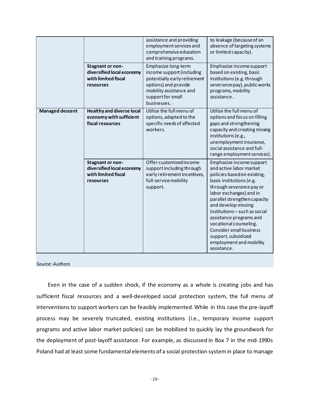|                        |                                                                                   | assistance and providing<br>employment services and<br>comprehensive education<br>and training programs.                                                                | to leakage (because of an<br>absence of targeting systems<br>or limited capacity).                                                                                                                                                                                                                                                                                                                                    |
|------------------------|-----------------------------------------------------------------------------------|-------------------------------------------------------------------------------------------------------------------------------------------------------------------------|-----------------------------------------------------------------------------------------------------------------------------------------------------------------------------------------------------------------------------------------------------------------------------------------------------------------------------------------------------------------------------------------------------------------------|
|                        | Stagnant or non-<br>diversified local economy<br>with limited fiscal<br>resources | Emphasize long-term<br>income support (including<br>potentially early retirement<br>options) and provide<br>mobility assistance and<br>support for small<br>businesses. | Emphasize income support<br>based on existing, basic<br>institutions (e.g. through<br>severance pay), public works<br>programs, mobility<br>assistance.                                                                                                                                                                                                                                                               |
| <b>Managed descent</b> | <b>Healthy and diverse local</b><br>economy with sufficient<br>fiscal resources   | Utilize the full menu of<br>options, adapted to the<br>specific needs of affected<br>workers.                                                                           | Utilize the full menu of<br>options and focus on filling<br>gaps and strengthening<br>capacity and creating missing<br>institutions (e.g.,<br>unemployment insurance,<br>social assistance and full-<br>range employment services).                                                                                                                                                                                   |
|                        | Stagnant or non-<br>diversified local economy<br>with limited fiscal<br>resources | Offer customized income<br>support including through<br>early retirement incentives,<br>full-service mobility<br>support.                                               | Emphasize income support<br>and active labor market<br>policies based on existing,<br>basic institutions (e.g.<br>through severance pay or<br>labor exchanges) and in<br>parallel strengthen capacity<br>and develop missing<br>institutions - such as social<br>assistance programs and<br>vocational counseling.<br><b>Consider small business</b><br>support, subsidized<br>employment and mobility<br>assistance. |

#### *Source: Authors*

Even in the case of a sudden shock, if the economy as a whole is creating jobs and has sufficient fiscal resources and a well-developed social protection system, the full menu of interventions to support workers can be feasibly implemented. While in this case the pre-layoff process may be severely truncated, existing institutions (i.e., temporary income support programs and active labor market policies) can be mobilized to quickly lay the groundwork for the deployment of post-layoff assistance. For example, as discussed in Box 7 in the mid-1990s Poland had at least some fundamental elements of a social protection system in place to manage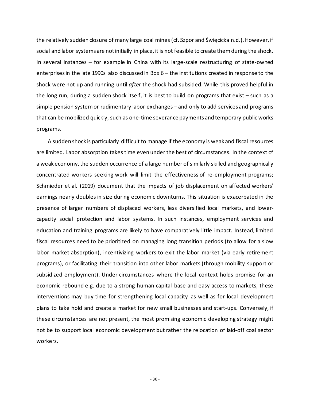the relatively sudden closure of many large coal mines (cf. Szpor and Święcicka n.d.). However, if social and labor systems are notinitially in place, it is not feasible to create them during the shock. In several instances – for example in China with its large-scale restructuring of state-owned enterprises in the late 1990s also discussed in Box 6 – the institutions created in response to the shock were not up and running until *after* the shock had subsided. While this proved helpful in the long run, during a sudden shock itself, it is best to build on programs that exist – such as a simple pension systemor rudimentary labor exchanges – and only to add services and programs that can be mobilized quickly, such as one-time severance payments and temporary public works programs.

A sudden shock is particularly difficult to manage if the economy is weak and fiscal resources are limited. Labor absorption takes time even under the best of circumstances. In the context of a weak economy, the sudden occurrence of a large number of similarly skilled and geographically concentrated workers seeking work will limit the effectiveness of re-employment programs; Schmieder et al. (2019) document that the impacts of job displacement on affected workers' earnings nearly doubles in size during economic downturns. This situation is exacerbated in the presence of larger numbers of displaced workers, less diversified local markets, and lowercapacity social protection and labor systems. In such instances, employment services and education and training programs are likely to have comparatively little impact. Instead, limited fiscal resources need to be prioritized on managing long transition periods (to allow for a slow labor market absorption), incentivizing workers to exit the labor market (via early retirement programs), or facilitating their transition into other labor markets (through mobility support or subsidized employment). Under circumstances where the local context holds promise for an economic rebound e.g. due to a strong human capital base and easy access to markets, these interventions may buy time for strengthening local capacity as well as for local development plans to take hold and create a market for new small businesses and start-ups. Conversely, if these circumstances are not present, the most promising economic developing strategy might not be to support local economic development but rather the relocation of laid-off coal sector workers.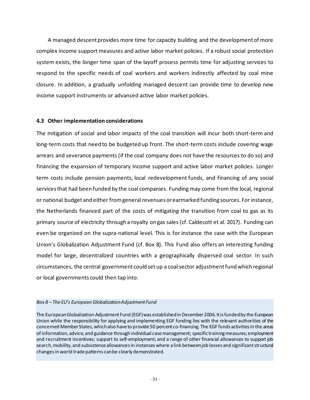A managed descent provides more time for capacity building and the development of more complex income support measures and active labor market policies. If a robust social protection system exists, the longer time span of the layoff process permits time for adjusting services to respond to the specific needs of coal workers and workers indirectly affected by coal mine closure. In addition, a gradually unfolding managed descent can provide time to develop new income support instruments or advanced active labor market policies.

#### <span id="page-32-0"></span>**4.3 Other implementation considerations**

The mitigation of social and labor impacts of the coal transition will incur both short-term and long-term costs that need to be budgeted up front. The short-term costs include covering wage arrears and severance payments (if the coal company does not have the resources to do so) and financing the expansion of temporary income support and active labor market policies. Longer term costs include pension payments, local redevelopment funds, and financing of any social services that had been funded by the coal companies. Funding may come from the local, regional or national budget and either from general revenues or earmarked funding sources. For instance, the Netherlands financed part of the costs of mitigating the transition from coal to gas as its primary source of electricity through a royalty on gas sales (cf. Caldecott et al. 2017). Funding can even be organized on the supra-national level. This is for instance the case with the European Union's Globalization Adjustment Fund (cf. Box 8). This Fund also offers an interesting funding model for large, decentralized countries with a geographically dispersed coal sector. In such circumstances, the central government could set up a coal sector adjustment fund which regional or local governments could then tap into.

#### *Box 8 – The EU's European Globalization Adjustment Fund*

The European Globalization Adjustment Fund (EGF) was established in December 2006. It is funded by the European Union while the responsibility for applying and implementing EGF funding lies with the relevant authorities of the concerned Member States, which also have to provide 50 percent co-financing. The EGF funds activities in the areas of information, advice, and guidance through individual case management; specific training measures; employment and recruitment incentives; support to self-employment; and a range of other financial allowances to support job search, mobility, and subsistence allowances in instances where a link between job losses and significant structural changes in world trade patterns can be clearly demonstrated.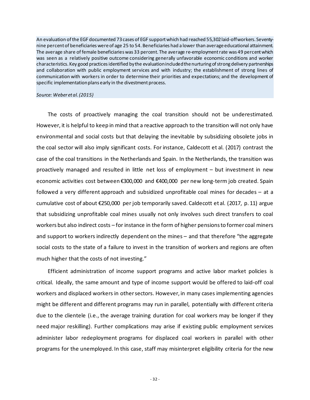An evaluation of the EGF documented 73 cases of EGF support which had reached 55,302 laid-offworkers. Seventynine percent of beneficiaries were of age 25 to 54. Beneficiaries had a lower than average educational attainment. The average share of female beneficiaries was 33 percent. The average re-employment rate was 49 percent which was seen as a relatively positive outcome considering generally unfavorable economic conditions and worker characteristics. Key good practices identified by the evaluation included the nurturing of strong delivery partnerships and collaboration with public employment services and with industry; the establishment of strong lines of communication with workers in order to determine their priorities and expectations; and the development of specific implementation plans early in the divestment process.

#### *Source: Weber et al. (2015)*

The costs of proactively managing the coal transition should not be underestimated. However, it is helpful to keep in mind that a reactive approach to the transition will not only have environmental and social costs but that delaying the inevitable by subsidizing obsolete jobs in the coal sector will also imply significant costs. For instance, Caldecott et al. (2017) contrast the case of the coal transitions in the Netherlands and Spain. In the Netherlands, the transition was proactively managed and resulted in little net loss of employment – but investment in new economic activities cost between €300,000 and €400,000 per new long-term job created. Spain followed a very different approach and subsidized unprofitable coal mines for decades – at a cumulative cost of about €250,000 per job temporarily saved. Caldecott et al. (2017, p. 11) argue that subsidizing unprofitable coal mines usually not only involves such direct transfers to coal workers but also indirect costs – for instance in the form of higher pensions to former coal miners and support to workers indirectly dependent on the mines – and that therefore "the aggregate social costs to the state of a failure to invest in the transition of workers and regions are often much higher that the costs of not investing."

Efficient administration of income support programs and active labor market policies is critical. Ideally, the same amount and type of income support would be offered to laid-off coal workers and displaced workers in other sectors. However, in many cases implementing agencies might be different and different programs may run in parallel, potentially with different criteria due to the clientele (i.e., the average training duration for coal workers may be longer if they need major reskilling). Further complications may arise if existing public employment services administer labor redeployment programs for displaced coal workers in parallel with other programs for the unemployed. In this case, staff may misinterpret eligibility criteria for the new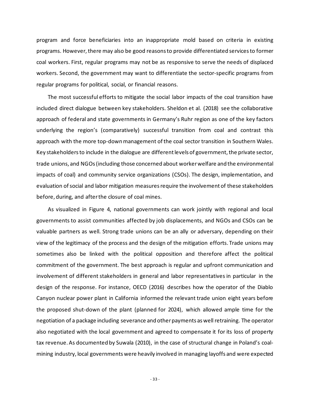program and force beneficiaries into an inappropriate mold based on criteria in existing programs. However, there may also be good reasons to provide differentiated services to former coal workers. First, regular programs may not be as responsive to serve the needs of displaced workers. Second, the government may want to differentiate the sector-specific programs from regular programs for political, social, or financial reasons.

The most successful efforts to mitigate the social labor impacts of the coal transition have included direct dialogue between key stakeholders. Sheldon et al. (2018) see the collaborative approach of federal and state governments in Germany's Ruhr region as one of the key factors underlying the region's (comparatively) successful transition from coal and contrast this approach with the more top-down management of the coal sector transition in Southern Wales. Key stakeholders to include in the dialogue are different levels of government, the private sector, trade unions, and NGOs (including those concerned about worker welfare and the environmental impacts of coal) and community service organizations (CSOs). The design, implementation, and evaluation of social and labor mitigation measures require the involvement of these stakeholders before, during, and after the closure of coal mines.

As visualized in Figure 4, national governments can work jointly with regional and local governments to assist communities affected by job displacements, and NGOs and CSOs can be valuable partners as well. Strong trade unions can be an ally or adversary, depending on their view of the legitimacy of the process and the design of the mitigation efforts. Trade unions may sometimes also be linked with the political opposition and therefore affect the political commitment of the government. The best approach is regular and upfront communication and involvement of different stakeholders in general and labor representatives in particular in the design of the response. For instance, OECD (2016) describes how the operator of the Diablo Canyon nuclear power plant in California informed the relevant trade union eight years before the proposed shut-down of the plant (planned for 2024), which allowed ample time for the negotiation of a package including severance and other payments as well retraining. The operator also negotiated with the local government and agreed to compensate it for its loss of property tax revenue. As documented by Suwala (2010), in the case of structural change in Poland's coalmining industry, local governments were heavily involved in managing layoffs and were expected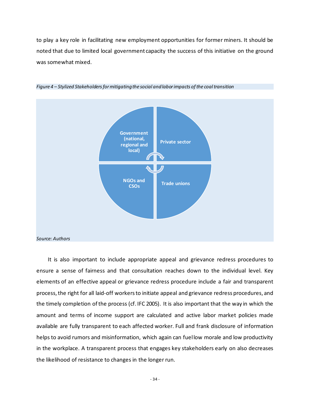to play a key role in facilitating new employment opportunities for former miners. It should be noted that due to limited local government capacity the success of this initiative on the ground was somewhat mixed.





It is also important to include appropriate appeal and grievance redress procedures to ensure a sense of fairness and that consultation reaches down to the individual level. Key elements of an effective appeal or grievance redress procedure include a fair and transparent process, the right for all laid-off workers to initiate appeal and grievance redress procedures, and the timely completion of the process (cf. IFC 2005). It is also important that the way in which the amount and terms of income support are calculated and active labor market policies made available are fully transparent to each affected worker. Full and frank disclosure of information helps to avoid rumors and misinformation, which again can fuel low morale and low productivity in the workplace. A transparent process that engages key stakeholders early on also decreases the likelihood of resistance to changes in the longer run.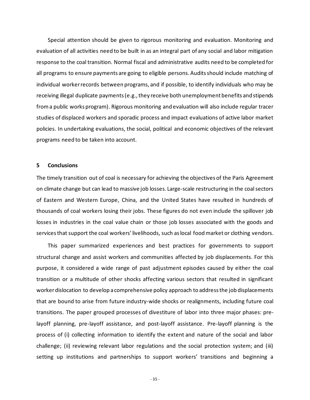Special attention should be given to rigorous monitoring and evaluation. Monitoring and evaluation of all activities need to be built in as an integral part of any social and labor mitigation response to the coal transition. Normal fiscal and administrative audits need to be completed for all programs to ensure payments are going to eligible persons. Audits should include matching of individual worker records between programs, and if possible, to identify individuals who may be receiving illegal duplicate payments (e.g., they receive both unemployment benefits and stipends froma public works program). Rigorous monitoring and evaluation will also include regular tracer studies of displaced workers and sporadic process and impact evaluations of active labor market policies. In undertaking evaluations, the social, political and economic objectives of the relevant programs need to be taken into account.

#### <span id="page-36-0"></span>**5 Conclusions**

The timely transition out of coal is necessary for achieving the objectives of the Paris Agreement on climate change but can lead to massive job losses. Large-scale restructuring in the coal sectors of Eastern and Western Europe, China, and the United States have resulted in hundreds of thousands of coal workers losing their jobs. These figures do not even include the spillover job losses in industries in the coal value chain or those job losses associated with the goods and services that support the coal workers' livelihoods, such as local food market or clothing vendors.

This paper summarized experiences and best practices for governments to support structural change and assist workers and communities affected by job displacements. For this purpose, it considered a wide range of past adjustment episodes caused by either the coal transition or a multitude of other shocks affecting various sectors that resulted in significant worker dislocation to develop a comprehensive policy approach to address the job displacements that are bound to arise from future industry-wide shocks or realignments, including future coal transitions. The paper grouped processes of divestiture of labor into three major phases: prelayoff planning, pre-layoff assistance, and post-layoff assistance. Pre-layoff planning is the process of (i) collecting information to identify the extent and nature of the social and labor challenge; (ii) reviewing relevant labor regulations and the social protection system; and (iii) setting up institutions and partnerships to support workers' transitions and beginning a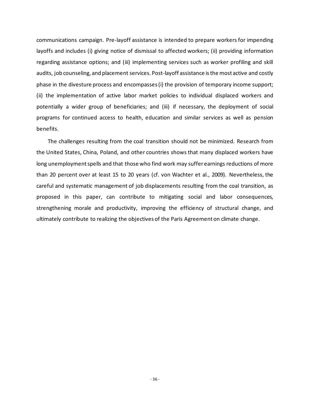communications campaign. Pre-layoff assistance is intended to prepare workers for impending layoffs and includes (i) giving notice of dismissal to affected workers; (ii) providing information regarding assistance options; and (iii) implementing services such as worker profiling and skill audits, job counseling, and placement services. Post-layoff assistance is the most active and costly phase in the divesture process and encompasses (i) the provision of temporary income support; (ii) the implementation of active labor market policies to individual displaced workers and potentially a wider group of beneficiaries; and (iii) if necessary, the deployment of social programs for continued access to health, education and similar services as well as pension benefits.

The challenges resulting from the coal transition should not be minimized. Research from the United States, China, Poland, and other countries shows that many displaced workers have long unemployment spells and that those who find work may suffer earnings reductions of more than 20 percent over at least 15 to 20 years (cf. von Wachter et al., 2009). Nevertheless, the careful and systematic management of job displacements resulting from the coal transition, as proposed in this paper, can contribute to mitigating social and labor consequences, strengthening morale and productivity, improving the efficiency of structural change, and ultimately contribute to realizing the objectives of the Paris Agreement on climate change.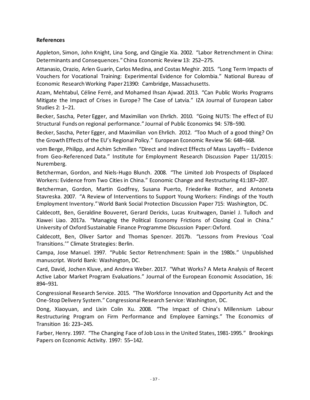#### <span id="page-38-0"></span>**References**

Appleton, Simon, John Knight, Lina Song, and Qingjie Xia. 2002. "Labor Retrenchment in China: Determinants and Consequences." China Economic Review 13: 252–275.

Attanasio, Orazio, Arlen Guarín, Carlos Medina, and Costas Meghir. 2015. "Long Term Impacts of Vouchers for Vocational Training: Experimental Evidence for Colombia." National Bureau of Economic Research Working Paper 21390: Cambridge, Massachusetts.

Azam, Mehtabul, Céline Ferré, and Mohamed Ihsan Ajwad. 2013. "Can Public Works Programs Mitigate the Impact of Crises in Europe? The Case of Latvia." IZA Journal of European Labor Studies 2: 1–21.

Becker, Sascha, Peter Egger, and Maximilian von Ehrlich. 2010. "Going NUTS: The effect of EU Structural Funds on regional performance." Journal of Public Economics 94: 578–590.

Becker, Sascha, Peter Egger, and Maximilian von Ehrlich. 2012. "Too Much of a good thing? On the Growth Effects of the EU's Regional Policy." European Economic Review 56: 648–668.

vom Berge, Philipp, and Achim Schmillen "Direct and Indirect Effects of Mass Layoffs – Evidence from Geo-Referenced Data." Institute for Employment Research Discussion Paper 11/2015: Nuremberg.

Betcherman, Gordon, and Niels-Hugo Blunch. 2008. "The Limited Job Prospects of Displaced Workers: Evidence from Two Cities in China." Economic Change and Restructuring 41:187–207.

Betcherman, Gordon, Martin Godfrey, Susana Puerto, Friederike Rother, and Antoneta Stavreska. 2007. "A Review of Interventions to Support Young Workers: Findings of the Youth Employment Inventory." World Bank Social Protection Discussion Paper 715: Washington, DC.

Caldecott, Ben, Geraldine Bouveret, Gerard Dericks, Lucas Kruitwagen, Daniel J. Tulloch and Xiawei Liao. 2017a. "Managing the Political Economy Frictions of Closing Coal in China." University of Oxford Sustainable Finance Programme Discussion Paper: Oxford.

Caldecott, Ben, Oliver Sartor and Thomas Spencer. 2017b. "Lessons from Previous 'Coal Transitions.'" Climate Strategies: Berlin.

Campa, Jose Manuel. 1997. "Public Sector Retrenchment: Spain in the 1980s." Unpublished manuscript. World Bank: Washington, DC.

Card, David, Jochen Kluve, and Andrea Weber. 2017. "What Works? A Meta Analysis of Recent Active Labor Market Program Evaluations." Journal of the European Economic Association, 16: 894–931.

Congressional Research Service. 2015. "The Workforce Innovation and Opportunity Act and the One-Stop Delivery System." Congressional Research Service: Washington, DC.

Dong, Xiaoyuan, and Lixin Colin Xu. 2008. "The Impact of China's Millennium Labour Restructuring Program on Firm Performance and Employee Earnings." The Economics of Transition 16: 223–245.

Farber, Henry. 1997. "The Changing Face of Job Loss in the United States, 1981-1995." Brookings Papers on Economic Activity. 1997: 55–142.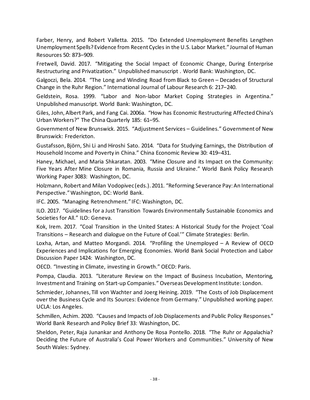Farber, Henry, and Robert Valletta. 2015. "Do Extended Unemployment Benefits Lengthen Unemployment Spells? Evidence from Recent Cycles in the U.S. Labor Market." Journal of Human Resources 50: 873–909.

Fretwell, David. 2017. "Mitigating the Social Impact of Economic Change, During Enterprise Restructuring and Privatization." Unpublished manuscript . World Bank: Washington, DC.

Galgoczi, Bela. 2014. "The Long and Winding Road from Black to Green – Decades of Structural Change in the Ruhr Region." International Journal of Labour Research 6: 217–240.

Geldstein, Rosa. 1999. "Labor and Non-labor Market Coping Strategies in Argentina." Unpublished manuscript. World Bank: Washington, DC.

Giles, John, Albert Park, and Fang Cai. 2006a. "How has Economic Restructuring Affected China's Urban Workers?" The China Quarterly 185: 61–95.

Government of New Brunswick. 2015. "Adjustment Services – Guidelines." Government of New Brunswick: Fredericton.

Gustafsson, Björn, Shi Li and Hiroshi Sato. 2014. "Data for Studying Earnings, the Distribution of Household Income and Poverty in China." China Economic Review 30: 419–431.

Haney, Michael, and Maria Shkaratan. 2003. "Mine Closure and its Impact on the Community: Five Years After Mine Closure in Romania, Russia and Ukraine." World Bank Policy Research Working Paper 3083: Washington, DC.

Holzmann, Robert and Milan Vodopivec (eds.). 2011. "Reforming Severance Pay: An International Perspective."Washington, DC: World Bank.

IFC. 2005. "Managing Retrenchment." IFC: Washington, DC.

ILO. 2017. "Guidelines for a Just Transition Towards Environmentally Sustainable Economics and Societies for All." ILO: Geneva.

Kok, Irem. 2017. "Coal Transition in the United States: A Historical Study for the Project 'Coal Transitions – Research and dialogue on the Future of Coal.'" Climate Strategies: Berlin.

Loxha, Artan, and Matteo Morgandi. 2014. "Profiling the Unemployed – A Review of OECD Experiences and Implications for Emerging Economies. World Bank Social Protection and Labor Discussion Paper 1424: Washington, DC.

OECD. "Investing in Climate, investing in Growth." OECD: Paris.

Pompa, Claudia. 2013. "Literature Review on the Impact of Business Incubation, Mentoring, Investment and Training on Start-up Companies." Overseas Development Institute: London.

Schmieder, Johannes, Till von Wachter and Joerg Heining. 2019. "The Costs of Job Displacement over the Business Cycle and Its Sources: Evidence from Germany." Unpublished working paper. UCLA: Los Angeles.

Schmillen, Achim. 2020. "Causes and Impacts of Job Displacements and Public Policy Responses." World Bank Research and Policy Brief 33: Washington, DC.

Sheldon, Peter, Raja Junankar and Anthony De Rosa Pontello. 2018. "The Ruhr or Appalachia? Deciding the Future of Australia's Coal Power Workers and Communities." University of New South Wales: Sydney.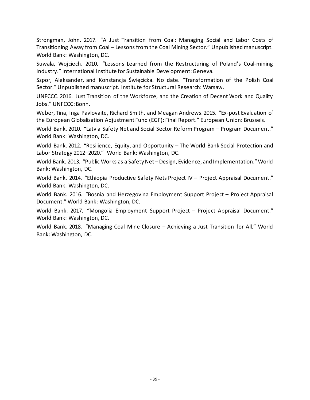Strongman, John. 2017. "A Just Transition from Coal: Managing Social and Labor Costs of Transitioning Away from Coal – Lessons from the Coal Mining Sector." Unpublished manuscript. World Bank: Washington, DC.

Suwala, Wojciech. 2010. "Lessons Learned from the Restructuring of Poland's Coal-mining Industry." International Institute for Sustainable Development: Geneva.

Szpor, Aleksander, and Konstancja Święcicka. No date. "Transformation of the Polish Coal Sector." Unpublished manuscript. Institute for Structural Research: Warsaw.

UNFCCC. 2016. Just Transition of the Workforce, and the Creation of Decent Work and Quality Jobs." UNFCCC: Bonn.

Weber, Tina, Inga Pavlovaite, Richard Smith, and Meagan Andrews. 2015. "Ex-post Evaluation of the European Globalisation Adjustment Fund (EGF): Final Report." European Union: Brussels.

World Bank. 2010. "Latvia Safety Net and Social Sector Reform Program – Program Document." World Bank: Washington, DC.

World Bank. 2012. "Resilience, Equity, and Opportunity – The World Bank Social Protection and Labor Strategy 2012–2020." World Bank: Washington, DC.

World Bank. 2013. "Public Works as a Safety Net – Design, Evidence, and Implementation." World Bank: Washington, DC.

World Bank. 2014. "Ethiopia Productive Safety Nets Project IV – Project Appraisal Document." World Bank: Washington, DC.

World Bank. 2016. "Bosnia and Herzegovina Employment Support Project – Project Appraisal Document." World Bank: Washington, DC.

World Bank. 2017. "Mongolia Employment Support Project – Project Appraisal Document." World Bank: Washington, DC.

World Bank. 2018. "Managing Coal Mine Closure – Achieving a Just Transition for All." World Bank: Washington, DC.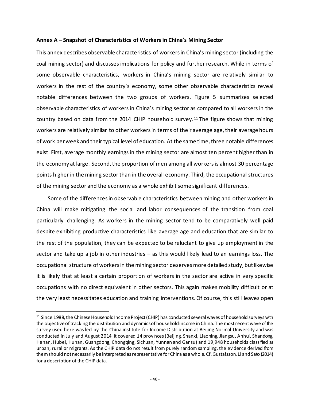#### **Annex A – Snapshot of Characteristics of Workers in China's Mining Sector**

This annex describes observable characteristics of workers in China's mining sector (including the coal mining sector) and discusses implications for policy and further research. While in terms of some observable characteristics, workers in China's mining sector are relatively similar to workers in the rest of the country's economy, some other observable characteristics reveal notable differences between the two groups of workers. Figure 5 summarizes selected observable characteristics of workers in China's mining sector as compared to all workers in the country based on data from the 2014 CHIP household survey.<sup>[11](#page-41-0)</sup> The figure shows that mining workers are relatively similar to other workers in terms of their average age, their average hours of work per week and their typical level of education. At the same time, three notable differences exist. First, average monthly earnings in the mining sector are almost ten percent higher than in the economy at large. Second, the proportion of men among all workers is almost 30 percentage points higher in the mining sector than in the overall economy. Third, the occupational structures of the mining sector and the economy as a whole exhibit some significant differences.

Some of the differences in observable characteristics between mining and other workers in China will make mitigating the social and labor consequences of the transition from coal particularly challenging. As workers in the mining sector tend to be comparatively well paid despite exhibiting productive characteristics like average age and education that are similar to the rest of the population, they can be expected to be reluctant to give up employment in the sector and take up a job in other industries – as this would likely lead to an earnings loss. The occupational structure of workers in the mining sector deserves more detailed study, but likewise it is likely that at least a certain proportion of workers in the sector are active in very specific occupations with no direct equivalent in other sectors. This again makes mobility difficult or at the very least necessitates education and training interventions. Of course, this still leaves open

<span id="page-41-0"></span><sup>&</sup>lt;sup>11</sup> Since 1988, the Chinese Household Income Project (CHIP) has conducted several waves of household surveys with the objective of tracking the distribution and dynamics of household income in China. The most recent wave of the survey used here was led by the China institute for Income Distribution at Beijing Normal University and was conducted in July and August 2014. It covered 14 provinces (Beijing, Shanxi, Liaoning, Jiangsu, Anhui, Shandong, Henan, Hubei, Hunan, Guangdong, Chongqing, Sichuan, Yunnan and Gansu) and 19,948 households classified as urban, rural or migrants. As the CHIP data do not result from purely random sampling, the evidence derived from them should not necessarily be interpreted as representative for China as a whole. Cf. Gustafsson, Li and Sato (2014) for a description of the CHIP data.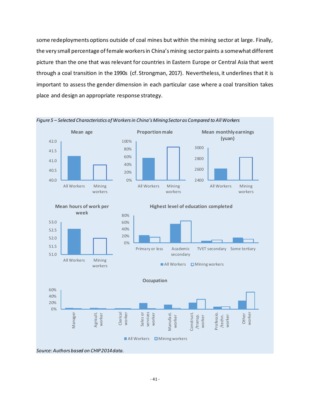some redeployments options outside of coal mines but within the mining sector at large. Finally, the very small percentage of female workers in China's mining sector paints a somewhat different picture than the one that was relevant for countries in Eastern Europe or Central Asia that went through a coal transition in the 1990s (cf. Strongman, 2017). Nevertheless, it underlines that it is important to assess the gender dimension in each particular case where a coal transition takes place and design an appropriate response strategy.

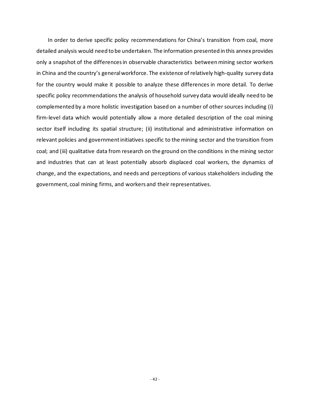In order to derive specific policy recommendations for China's transition from coal, more detailed analysis would need to be undertaken. The information presented in this annex provides only a snapshot of the differences in observable characteristics between mining sector workers in China and the country's general workforce. The existence of relatively high-quality survey data for the country would make it possible to analyze these differences in more detail. To derive specific policy recommendations the analysis of household survey data would ideally need to be complemented by a more holistic investigation based on a number of other sources including (i) firm-level data which would potentially allow a more detailed description of the coal mining sector itself including its spatial structure; (ii) institutional and administrative information on relevant policies and government initiatives specific to the mining sector and the transition from coal; and (iii) qualitative data from research on the ground on the conditions in the mining sector and industries that can at least potentially absorb displaced coal workers, the dynamics of change, and the expectations, and needs and perceptions of various stakeholders including the government, coal mining firms, and workers and their representatives.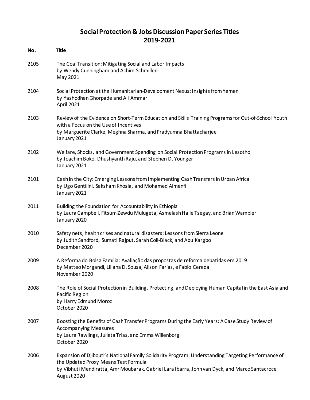### **Social Protection & Jobs Discussion Paper Series Titles 2019-2021**

| <u>No.</u> | <b>Title</b>                                                                                                                                                                                                                                               |
|------------|------------------------------------------------------------------------------------------------------------------------------------------------------------------------------------------------------------------------------------------------------------|
| 2105       | The Coal Transition: Mitigating Social and Labor Impacts<br>by Wendy Cunningham and Achim Schmillen<br>May 2021                                                                                                                                            |
| 2104       | Social Protection at the Humanitarian-Development Nexus: Insights from Yemen<br>by Yashodhan Ghorpade and Ali Ammar<br>April 2021                                                                                                                          |
| 2103       | Review of the Evidence on Short-Term Education and Skills Training Programs for Out-of-School Youth<br>with a Focus on the Use of Incentives<br>by Marguerite Clarke, Meghna Sharma, and Pradyumna Bhattacharjee<br>January 2021                           |
| 2102       | Welfare, Shocks, and Government Spending on Social Protection Programs in Lesotho<br>by Joachim Boko, Dhushyanth Raju, and Stephen D. Younger<br>January 2021                                                                                              |
| 2101       | Cash in the City: Emerging Lessons from Implementing Cash Transfers in Urban Africa<br>by Ugo Gentilini, Saksham Khosla, and Mohamed Almenfi<br>January 2021                                                                                               |
| 2011       | Building the Foundation for Accountability in Ethiopia<br>by Laura Campbell, Fitsum Zewdu Mulugeta, Asmelash Haile Tsegay, and Brian Wampler<br>January 2020                                                                                               |
| 2010       | Safety nets, health crises and natural disasters: Lessons from Sierra Leone<br>by Judith Sandford, Sumati Rajput, Sarah Coll-Black, and Abu Kargbo<br>December 2020                                                                                        |
| 2009       | A Reforma do Bolsa Família: Avaliação das propostas de reforma debatidas em 2019<br>by Matteo Morgandi, Liliana D. Sousa, Alison Farias, e Fabio Cereda<br>November 2020                                                                                   |
| 2008       | The Role of Social Protection in Building, Protecting, and Deploying Human Capital in the East Asia and<br>Pacific Region<br>by Harry Edmund Moroz<br>October 2020                                                                                         |
| 2007       | Boosting the Benefits of Cash Transfer Programs During the Early Years: A Case Study Review of<br><b>Accompanying Measures</b><br>by Laura Rawlings, Julieta Trias, and Emma Willenborg<br>October 2020                                                    |
| 2006       | Expansion of Djibouti's National Family Solidarity Program: Understanding Targeting Performance of<br>the Updated Proxy Means Test Formula<br>by Vibhuti Mendiratta, Amr Moubarak, Gabriel Lara Ibarra, John van Dyck, and Marco Santacroce<br>August 2020 |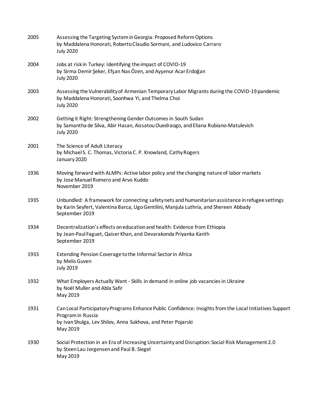| 2005 | Assessing the Targeting System in Georgia: Proposed Reform Options<br>by Maddalena Honorati, Roberto Claudio Sormani, and Ludovico Carraro<br><b>July 2020</b>                                               |
|------|--------------------------------------------------------------------------------------------------------------------------------------------------------------------------------------------------------------|
| 2004 | Jobs at risk in Turkey: Identifying the impact of COVID-19<br>by Sirma Demir Şeker, Efşan Nas Özen, and Ayşenur Acar Erdoğan<br><b>July 2020</b>                                                             |
| 2003 | Assessing the Vulnerability of Armenian Temporary Labor Migrants during the COVID-19 pandemic<br>by Maddalena Honorati, Soonhwa Yi, and Thelma Choi<br><b>July 2020</b>                                      |
| 2002 | Getting it Right: Strengthening Gender Outcomes in South Sudan<br>by Samantha de Silva, Abir Hasan, Aissatou Ouedraogo, and Eliana Rubiano-Matulevich<br><b>July 2020</b>                                    |
| 2001 | The Science of Adult Literacy<br>by Michael S. C. Thomas, Victoria C. P. Knowland, Cathy Rogers<br>January 2020                                                                                              |
| 1936 | Moving forward with ALMPs: Active labor policy and the changing nature of labor markets<br>by Jose Manuel Romero and Arvo Kuddo<br>November 2019                                                             |
| 1935 | Unbundled: A framework for connecting safety nets and humanitarian assistance in refugee settings<br>by Karin Seyfert, Valentina Barca, Ugo Gentilini, Manjula Luthria, and Shereen Abbady<br>September 2019 |
| 1934 | Decentralization's effects on education and health: Evidence from Ethiopia<br>by Jean-Paul Faguet, Qaiser Khan, and Devarakonda Priyanka Kanth<br>September 2019                                             |
| 1933 | Extending Pension Coverage to the Informal Sector in Africa<br>by Melis Guven<br><b>July 2019</b>                                                                                                            |
| 1932 | What Employers Actually Want - Skills in demand in online job vacancies in Ukraine<br>by Noël Muller and Abla Safir<br>May 2019                                                                              |
| 1931 | Can Local Participatory Programs Enhance Public Confidence: Insights from the Local Initiatives Support<br>Program in Russia<br>by Ivan Shulga, Lev Shilov, Anna Sukhova, and Peter Pojarski<br>May 2019     |
| 1930 | Social Protection in an Era of Increasing Uncertainty and Disruption: Social Risk Management 2.0<br>by Steen Lau Jorgensen and Paul B. Siegel<br>May 2019                                                    |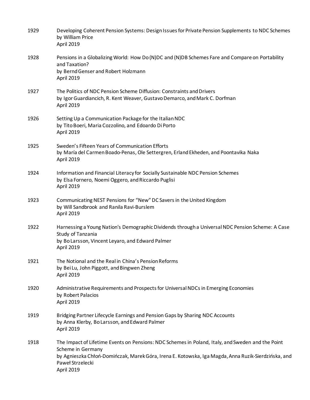| 1929 | Developing Coherent Pension Systems: Design Issues for Private Pension Supplements to NDC Schemes<br>by William Price<br>April 2019                                                                                                                             |
|------|-----------------------------------------------------------------------------------------------------------------------------------------------------------------------------------------------------------------------------------------------------------------|
| 1928 | Pensions in a Globalizing World: How Do (N)DC and (N)DB Schemes Fare and Compare on Portability<br>and Taxation?<br>by Bernd Genser and Robert Holzmann<br>April 2019                                                                                           |
| 1927 | The Politics of NDC Pension Scheme Diffusion: Constraints and Drivers<br>by Igor Guardiancich, R. Kent Weaver, Gustavo Demarco, and Mark C. Dorfman<br>April 2019                                                                                               |
| 1926 | Setting Up a Communication Package for the Italian NDC<br>by Tito Boeri, Maria Cozzolino, and Edoardo Di Porto<br>April 2019                                                                                                                                    |
| 1925 | Sweden's Fifteen Years of Communication Efforts<br>by María del Carmen Boado-Penas, Ole Settergren, Erland Ekheden, and Poontavika Naka<br>April 2019                                                                                                           |
| 1924 | Information and Financial Literacy for Socially Sustainable NDC Pension Schemes<br>by Elsa Fornero, Noemi Oggero, and Riccardo Puglisi<br>April 2019                                                                                                            |
| 1923 | Communicating NEST Pensions for "New" DC Savers in the United Kingdom<br>by Will Sandbrook and Ranila Ravi-Burslem<br>April 2019                                                                                                                                |
| 1922 | Harnessing a Young Nation's Demographic Dividends through a Universal NDC Pension Scheme: A Case<br>Study of Tanzania<br>by Bo Larsson, Vincent Leyaro, and Edward Palmer<br>April 2019                                                                         |
| 1921 | The Notional and the Real in China's Pension Reforms<br>by Bei Lu, John Piggott, and Bingwen Zheng<br>April 2019                                                                                                                                                |
| 1920 | Administrative Requirements and Prospects for Universal NDCs in Emerging Economies<br>by Robert Palacios<br>April 2019                                                                                                                                          |
| 1919 | Bridging Partner Lifecycle Earnings and Pension Gaps by Sharing NDC Accounts<br>by Anna Klerby, Bo Larsson, and Edward Palmer<br>April 2019                                                                                                                     |
| 1918 | The Impact of Lifetime Events on Pensions: NDC Schemes in Poland, Italy, and Sweden and the Point<br>Scheme in Germany<br>by Agnieszka Chłoń-Domińczak, Marek Góra, Irena E. Kotowska, Iga Magda, Anna Ruzik-Sierdzińska, and<br>Paweł Strzelecki<br>April 2019 |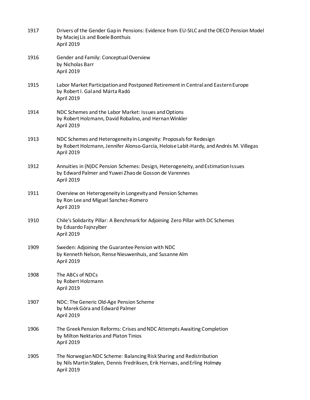| 1917 | Drivers of the Gender Gap in Pensions: Evidence from EU-SILC and the OECD Pension Model<br>by Maciej Lis and Boele Bonthuis<br>April 2019                                   |
|------|-----------------------------------------------------------------------------------------------------------------------------------------------------------------------------|
| 1916 | Gender and Family: Conceptual Overview<br>by Nicholas Barr<br>April 2019                                                                                                    |
| 1915 | Labor Market Participation and Postponed Retirement in Central and Eastern Europe<br>by Robert I. Gal and Márta Radó<br>April 2019                                          |
| 1914 | NDC Schemes and the Labor Market: Issues and Options<br>by Robert Holzmann, David Robalino, and Hernan Winkler<br>April 2019                                                |
| 1913 | NDC Schemes and Heterogeneity in Longevity: Proposals for Redesign<br>by Robert Holzmann, Jennifer Alonso-García, Heloise Labit-Hardy, and Andrés M. Villegas<br>April 2019 |
| 1912 | Annuities in (N)DC Pension Schemes: Design, Heterogeneity, and Estimation Issues<br>by Edward Palmer and Yuwei Zhao de Gosson de Varennes<br>April 2019                     |
| 1911 | Overview on Heterogeneity in Longevity and Pension Schemes<br>by Ron Lee and Miguel Sanchez-Romero<br>April 2019                                                            |
| 1910 | Chile's Solidarity Pillar: A Benchmark for Adjoining Zero Pillar with DC Schemes<br>by Eduardo Fajnzylber<br>April 2019                                                     |
| 1909 | Sweden: Adjoining the Guarantee Pension with NDC<br>by Kenneth Nelson, Rense Nieuwenhuis, and Susanne Alm<br>April 2019                                                     |
| 1908 | The ABCs of NDCs<br>by Robert Holzmann<br>April 2019                                                                                                                        |
| 1907 | NDC: The Generic Old-Age Pension Scheme<br>by Marek Góra and Edward Palmer<br>April 2019                                                                                    |
| 1906 | The Greek Pension Reforms: Crises and NDC Attempts Awaiting Completion<br>by Milton Nektarios and Platon Tinios<br>April 2019                                               |
| 1905 | The Norwegian NDC Scheme: Balancing Risk Sharing and Redistribution<br>by Nils Martin Stølen, Dennis Fredriksen, Erik Hernæs, and Erling Holmøy<br>April 2019               |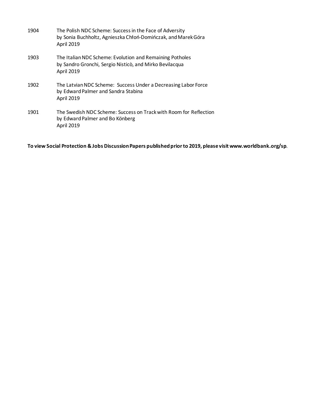| 1904 | The Polish NDC Scheme: Success in the Face of Adversity<br>by Sonia Buchholtz, Agnieszka Chłoń-Domińczak, and Marek Góra<br>April 2019 |
|------|----------------------------------------------------------------------------------------------------------------------------------------|
| 1903 | The Italian NDC Scheme: Evolution and Remaining Potholes<br>by Sandro Gronchi, Sergio Nisticò, and Mirko Bevilacqua<br>April 2019      |
| 1902 | The Latvian NDC Scheme: Success Under a Decreasing Labor Force<br>by Edward Palmer and Sandra Stabina<br><b>April 2019</b>             |
| 1901 | The Swedish NDC Scheme: Success on Track with Room for Reflection<br>by Edward Palmer and Bo Könberg<br><b>April 2019</b>              |

**To view Social Protection & Jobs Discussion Papers published prior to 2019, please visit www.worldbank.org/sp**.